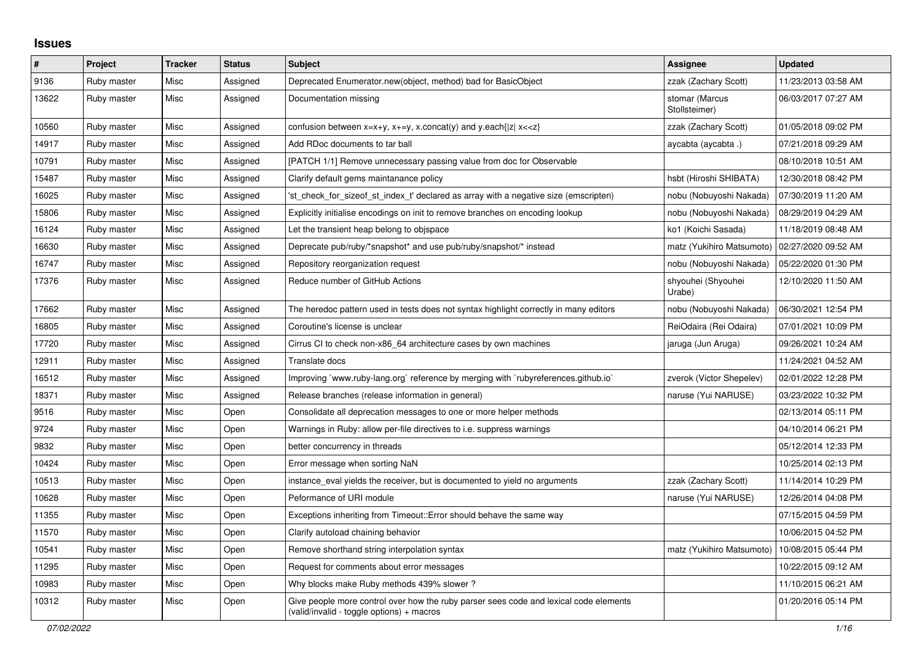## **Issues**

| $\vert$ # | Project     | <b>Tracker</b> | <b>Status</b> | <b>Subject</b>                                                                                                                          | <b>Assignee</b>                 | <b>Updated</b>      |
|-----------|-------------|----------------|---------------|-----------------------------------------------------------------------------------------------------------------------------------------|---------------------------------|---------------------|
| 9136      | Ruby master | Misc           | Assigned      | Deprecated Enumerator.new(object, method) bad for BasicObject                                                                           | zzak (Zachary Scott)            | 11/23/2013 03:58 AM |
| 13622     | Ruby master | Misc           | Assigned      | Documentation missing                                                                                                                   | stomar (Marcus<br>Stollsteimer) | 06/03/2017 07:27 AM |
| 10560     | Ruby master | Misc           | Assigned      | confusion between x=x+y, x+=y, x.concat(y) and y.each{ z  x< <z}< td=""><td>zzak (Zachary Scott)</td><td>01/05/2018 09:02 PM</td></z}<> | zzak (Zachary Scott)            | 01/05/2018 09:02 PM |
| 14917     | Ruby master | Misc           | Assigned      | Add RDoc documents to tar ball                                                                                                          | aycabta (aycabta .)             | 07/21/2018 09:29 AM |
| 10791     | Ruby master | Misc           | Assigned      | [PATCH 1/1] Remove unnecessary passing value from doc for Observable                                                                    |                                 | 08/10/2018 10:51 AM |
| 15487     | Ruby master | Misc           | Assigned      | Clarify default gems maintanance policy                                                                                                 | hsbt (Hiroshi SHIBATA)          | 12/30/2018 08:42 PM |
| 16025     | Ruby master | Misc           | Assigned      | 'st_check_for_sizeof_st_index_t' declared as array with a negative size (emscripten)                                                    | nobu (Nobuyoshi Nakada)         | 07/30/2019 11:20 AM |
| 15806     | Ruby master | Misc           | Assigned      | Explicitly initialise encodings on init to remove branches on encoding lookup                                                           | nobu (Nobuyoshi Nakada)         | 08/29/2019 04:29 AM |
| 16124     | Ruby master | Misc           | Assigned      | Let the transient heap belong to objspace                                                                                               | ko1 (Koichi Sasada)             | 11/18/2019 08:48 AM |
| 16630     | Ruby master | Misc           | Assigned      | Deprecate pub/ruby/*snapshot* and use pub/ruby/snapshot/* instead                                                                       | matz (Yukihiro Matsumoto)       | 02/27/2020 09:52 AM |
| 16747     | Ruby master | Misc           | Assigned      | Repository reorganization request                                                                                                       | nobu (Nobuyoshi Nakada)         | 05/22/2020 01:30 PM |
| 17376     | Ruby master | Misc           | Assigned      | Reduce number of GitHub Actions                                                                                                         | shyouhei (Shyouhei<br>Urabe)    | 12/10/2020 11:50 AM |
| 17662     | Ruby master | Misc           | Assigned      | The heredoc pattern used in tests does not syntax highlight correctly in many editors                                                   | nobu (Nobuyoshi Nakada)         | 06/30/2021 12:54 PM |
| 16805     | Ruby master | Misc           | Assigned      | Coroutine's license is unclear                                                                                                          | ReiOdaira (Rei Odaira)          | 07/01/2021 10:09 PM |
| 17720     | Ruby master | Misc           | Assigned      | Cirrus CI to check non-x86_64 architecture cases by own machines                                                                        | jaruga (Jun Aruga)              | 09/26/2021 10:24 AM |
| 12911     | Ruby master | Misc           | Assigned      | Translate docs                                                                                                                          |                                 | 11/24/2021 04:52 AM |
| 16512     | Ruby master | Misc           | Assigned      | Improving `www.ruby-lang.org` reference by merging with `rubyreferences.github.io`                                                      | zverok (Victor Shepelev)        | 02/01/2022 12:28 PM |
| 18371     | Ruby master | Misc           | Assigned      | Release branches (release information in general)                                                                                       | naruse (Yui NARUSE)             | 03/23/2022 10:32 PM |
| 9516      | Ruby master | Misc           | Open          | Consolidate all deprecation messages to one or more helper methods                                                                      |                                 | 02/13/2014 05:11 PM |
| 9724      | Ruby master | Misc           | Open          | Warnings in Ruby: allow per-file directives to i.e. suppress warnings                                                                   |                                 | 04/10/2014 06:21 PM |
| 9832      | Ruby master | Misc           | Open          | better concurrency in threads                                                                                                           |                                 | 05/12/2014 12:33 PM |
| 10424     | Ruby master | Misc           | Open          | Error message when sorting NaN                                                                                                          |                                 | 10/25/2014 02:13 PM |
| 10513     | Ruby master | Misc           | Open          | instance eval yields the receiver, but is documented to yield no arguments                                                              | zzak (Zachary Scott)            | 11/14/2014 10:29 PM |
| 10628     | Ruby master | Misc           | Open          | Peformance of URI module                                                                                                                | naruse (Yui NARUSE)             | 12/26/2014 04:08 PM |
| 11355     | Ruby master | Misc           | Open          | Exceptions inheriting from Timeout::Error should behave the same way                                                                    |                                 | 07/15/2015 04:59 PM |
| 11570     | Ruby master | Misc           | Open          | Clarify autoload chaining behavior                                                                                                      |                                 | 10/06/2015 04:52 PM |
| 10541     | Ruby master | Misc           | Open          | Remove shorthand string interpolation syntax                                                                                            | matz (Yukihiro Matsumoto)       | 10/08/2015 05:44 PM |
| 11295     | Ruby master | Misc           | Open          | Request for comments about error messages                                                                                               |                                 | 10/22/2015 09:12 AM |
| 10983     | Ruby master | Misc           | Open          | Why blocks make Ruby methods 439% slower?                                                                                               |                                 | 11/10/2015 06:21 AM |
| 10312     | Ruby master | Misc           | Open          | Give people more control over how the ruby parser sees code and lexical code elements<br>(valid/invalid - toggle options) + macros      |                                 | 01/20/2016 05:14 PM |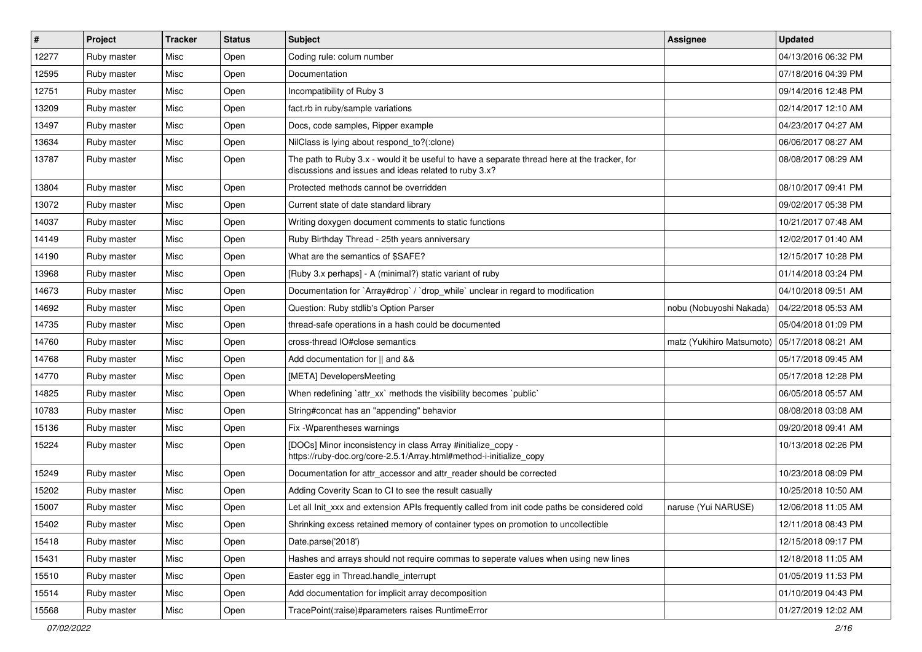| #     | <b>Project</b> | <b>Tracker</b> | <b>Status</b> | Subject                                                                                                                                               | <b>Assignee</b>           | <b>Updated</b>      |
|-------|----------------|----------------|---------------|-------------------------------------------------------------------------------------------------------------------------------------------------------|---------------------------|---------------------|
| 12277 | Ruby master    | Misc           | Open          | Coding rule: colum number                                                                                                                             |                           | 04/13/2016 06:32 PM |
| 12595 | Ruby master    | Misc           | Open          | Documentation                                                                                                                                         |                           | 07/18/2016 04:39 PM |
| 12751 | Ruby master    | Misc           | Open          | Incompatibility of Ruby 3                                                                                                                             |                           | 09/14/2016 12:48 PM |
| 13209 | Ruby master    | Misc           | Open          | fact.rb in ruby/sample variations                                                                                                                     |                           | 02/14/2017 12:10 AM |
| 13497 | Ruby master    | Misc           | Open          | Docs, code samples, Ripper example                                                                                                                    |                           | 04/23/2017 04:27 AM |
| 13634 | Ruby master    | Misc           | Open          | NilClass is lying about respond_to?(:clone)                                                                                                           |                           | 06/06/2017 08:27 AM |
| 13787 | Ruby master    | Misc           | Open          | The path to Ruby 3.x - would it be useful to have a separate thread here at the tracker, for<br>discussions and issues and ideas related to ruby 3.x? |                           | 08/08/2017 08:29 AM |
| 13804 | Ruby master    | Misc           | Open          | Protected methods cannot be overridden                                                                                                                |                           | 08/10/2017 09:41 PM |
| 13072 | Ruby master    | Misc           | Open          | Current state of date standard library                                                                                                                |                           | 09/02/2017 05:38 PM |
| 14037 | Ruby master    | Misc           | Open          | Writing doxygen document comments to static functions                                                                                                 |                           | 10/21/2017 07:48 AM |
| 14149 | Ruby master    | Misc           | Open          | Ruby Birthday Thread - 25th years anniversary                                                                                                         |                           | 12/02/2017 01:40 AM |
| 14190 | Ruby master    | Misc           | Open          | What are the semantics of \$SAFE?                                                                                                                     |                           | 12/15/2017 10:28 PM |
| 13968 | Ruby master    | Misc           | Open          | [Ruby 3.x perhaps] - A (minimal?) static variant of ruby                                                                                              |                           | 01/14/2018 03:24 PM |
| 14673 | Ruby master    | Misc           | Open          | Documentation for `Array#drop` / `drop_while` unclear in regard to modification                                                                       |                           | 04/10/2018 09:51 AM |
| 14692 | Ruby master    | Misc           | Open          | Question: Ruby stdlib's Option Parser                                                                                                                 | nobu (Nobuyoshi Nakada)   | 04/22/2018 05:53 AM |
| 14735 | Ruby master    | Misc           | Open          | thread-safe operations in a hash could be documented                                                                                                  |                           | 05/04/2018 01:09 PM |
| 14760 | Ruby master    | Misc           | Open          | cross-thread IO#close semantics                                                                                                                       | matz (Yukihiro Matsumoto) | 05/17/2018 08:21 AM |
| 14768 | Ruby master    | Misc           | Open          | Add documentation for    and &&                                                                                                                       |                           | 05/17/2018 09:45 AM |
| 14770 | Ruby master    | Misc           | Open          | [META] DevelopersMeeting                                                                                                                              |                           | 05/17/2018 12:28 PM |
| 14825 | Ruby master    | Misc           | Open          | When redefining 'attr_xx' methods the visibility becomes 'public'                                                                                     |                           | 06/05/2018 05:57 AM |
| 10783 | Ruby master    | Misc           | Open          | String#concat has an "appending" behavior                                                                                                             |                           | 08/08/2018 03:08 AM |
| 15136 | Ruby master    | Misc           | Open          | Fix - Wparentheses warnings                                                                                                                           |                           | 09/20/2018 09:41 AM |
| 15224 | Ruby master    | Misc           | Open          | [DOCs] Minor inconsistency in class Array #initialize_copy -<br>https://ruby-doc.org/core-2.5.1/Array.html#method-i-initialize_copy                   |                           | 10/13/2018 02:26 PM |
| 15249 | Ruby master    | Misc           | Open          | Documentation for attr_accessor and attr_reader should be corrected                                                                                   |                           | 10/23/2018 08:09 PM |
| 15202 | Ruby master    | Misc           | Open          | Adding Coverity Scan to CI to see the result casually                                                                                                 |                           | 10/25/2018 10:50 AM |
| 15007 | Ruby master    | Misc           | Open          | Let all Init_xxx and extension APIs frequently called from init code paths be considered cold                                                         | naruse (Yui NARUSE)       | 12/06/2018 11:05 AM |
| 15402 | Ruby master    | Misc           | Open          | Shrinking excess retained memory of container types on promotion to uncollectible                                                                     |                           | 12/11/2018 08:43 PM |
| 15418 | Ruby master    | Misc           | Open          | Date.parse('2018')                                                                                                                                    |                           | 12/15/2018 09:17 PM |
| 15431 | Ruby master    | Misc           | Open          | Hashes and arrays should not require commas to seperate values when using new lines                                                                   |                           | 12/18/2018 11:05 AM |
| 15510 | Ruby master    | Misc           | Open          | Easter egg in Thread.handle_interrupt                                                                                                                 |                           | 01/05/2019 11:53 PM |
| 15514 | Ruby master    | Misc           | Open          | Add documentation for implicit array decomposition                                                                                                    |                           | 01/10/2019 04:43 PM |
| 15568 | Ruby master    | Misc           | Open          | TracePoint(:raise)#parameters raises RuntimeError                                                                                                     |                           | 01/27/2019 12:02 AM |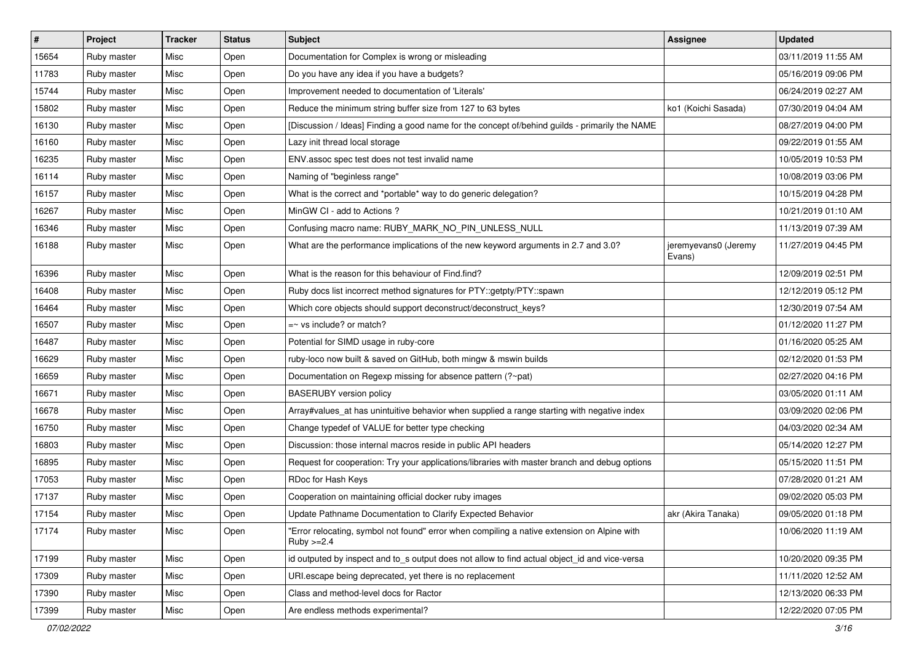| $\sharp$ | Project     | <b>Tracker</b> | <b>Status</b> | Subject                                                                                                      | Assignee                       | <b>Updated</b>      |
|----------|-------------|----------------|---------------|--------------------------------------------------------------------------------------------------------------|--------------------------------|---------------------|
| 15654    | Ruby master | Misc           | Open          | Documentation for Complex is wrong or misleading                                                             |                                | 03/11/2019 11:55 AM |
| 11783    | Ruby master | Misc           | Open          | Do you have any idea if you have a budgets?                                                                  |                                | 05/16/2019 09:06 PM |
| 15744    | Ruby master | Misc           | Open          | Improvement needed to documentation of 'Literals'                                                            |                                | 06/24/2019 02:27 AM |
| 15802    | Ruby master | Misc           | Open          | Reduce the minimum string buffer size from 127 to 63 bytes                                                   | ko1 (Koichi Sasada)            | 07/30/2019 04:04 AM |
| 16130    | Ruby master | Misc           | Open          | [Discussion / Ideas] Finding a good name for the concept of/behind guilds - primarily the NAME               |                                | 08/27/2019 04:00 PM |
| 16160    | Ruby master | Misc           | Open          | Lazy init thread local storage                                                                               |                                | 09/22/2019 01:55 AM |
| 16235    | Ruby master | Misc           | Open          | ENV assoc spec test does not test invalid name                                                               |                                | 10/05/2019 10:53 PM |
| 16114    | Ruby master | Misc           | Open          | Naming of "beginless range"                                                                                  |                                | 10/08/2019 03:06 PM |
| 16157    | Ruby master | Misc           | Open          | What is the correct and *portable* way to do generic delegation?                                             |                                | 10/15/2019 04:28 PM |
| 16267    | Ruby master | Misc           | Open          | MinGW CI - add to Actions ?                                                                                  |                                | 10/21/2019 01:10 AM |
| 16346    | Ruby master | Misc           | Open          | Confusing macro name: RUBY_MARK_NO_PIN_UNLESS_NULL                                                           |                                | 11/13/2019 07:39 AM |
| 16188    | Ruby master | Misc           | Open          | What are the performance implications of the new keyword arguments in 2.7 and 3.0?                           | jeremyevans0 (Jeremy<br>Evans) | 11/27/2019 04:45 PM |
| 16396    | Ruby master | Misc           | Open          | What is the reason for this behaviour of Find.find?                                                          |                                | 12/09/2019 02:51 PM |
| 16408    | Ruby master | Misc           | Open          | Ruby docs list incorrect method signatures for PTY::getpty/PTY::spawn                                        |                                | 12/12/2019 05:12 PM |
| 16464    | Ruby master | Misc           | Open          | Which core objects should support deconstruct/deconstruct_keys?                                              |                                | 12/30/2019 07:54 AM |
| 16507    | Ruby master | Misc           | Open          | $=$ vs include? or match?                                                                                    |                                | 01/12/2020 11:27 PM |
| 16487    | Ruby master | Misc           | Open          | Potential for SIMD usage in ruby-core                                                                        |                                | 01/16/2020 05:25 AM |
| 16629    | Ruby master | Misc           | Open          | ruby-loco now built & saved on GitHub, both mingw & mswin builds                                             |                                | 02/12/2020 01:53 PM |
| 16659    | Ruby master | Misc           | Open          | Documentation on Regexp missing for absence pattern (?~pat)                                                  |                                | 02/27/2020 04:16 PM |
| 16671    | Ruby master | Misc           | Open          | <b>BASERUBY</b> version policy                                                                               |                                | 03/05/2020 01:11 AM |
| 16678    | Ruby master | Misc           | Open          | Array#values_at has unintuitive behavior when supplied a range starting with negative index                  |                                | 03/09/2020 02:06 PM |
| 16750    | Ruby master | Misc           | Open          | Change typedef of VALUE for better type checking                                                             |                                | 04/03/2020 02:34 AM |
| 16803    | Ruby master | Misc           | Open          | Discussion: those internal macros reside in public API headers                                               |                                | 05/14/2020 12:27 PM |
| 16895    | Ruby master | Misc           | Open          | Request for cooperation: Try your applications/libraries with master branch and debug options                |                                | 05/15/2020 11:51 PM |
| 17053    | Ruby master | Misc           | Open          | RDoc for Hash Keys                                                                                           |                                | 07/28/2020 01:21 AM |
| 17137    | Ruby master | Misc           | Open          | Cooperation on maintaining official docker ruby images                                                       |                                | 09/02/2020 05:03 PM |
| 17154    | Ruby master | Misc           | Open          | Update Pathname Documentation to Clarify Expected Behavior                                                   | akr (Akira Tanaka)             | 09/05/2020 01:18 PM |
| 17174    | Ruby master | Misc           | Open          | "Error relocating, symbol not found" error when compiling a native extension on Alpine with<br>$Ruby >= 2.4$ |                                | 10/06/2020 11:19 AM |
| 17199    | Ruby master | Misc           | Open          | id outputed by inspect and to_s output does not allow to find actual object_id and vice-versa                |                                | 10/20/2020 09:35 PM |
| 17309    | Ruby master | Misc           | Open          | URI escape being deprecated, yet there is no replacement                                                     |                                | 11/11/2020 12:52 AM |
| 17390    | Ruby master | Misc           | Open          | Class and method-level docs for Ractor                                                                       |                                | 12/13/2020 06:33 PM |
| 17399    | Ruby master | Misc           | Open          | Are endless methods experimental?                                                                            |                                | 12/22/2020 07:05 PM |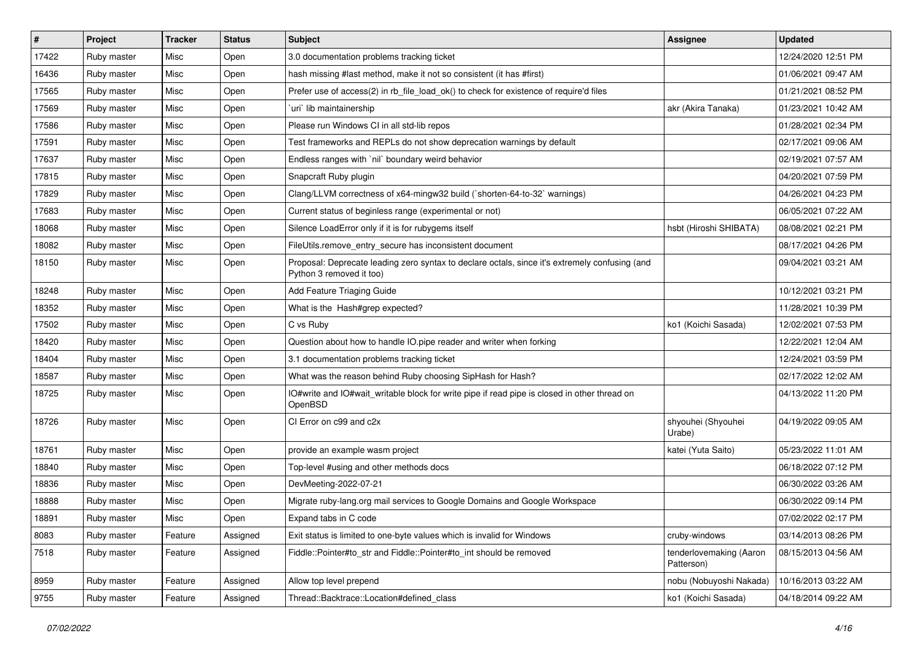| #     | Project     | <b>Tracker</b> | <b>Status</b> | Subject                                                                                                                    | <b>Assignee</b>                       | <b>Updated</b>      |
|-------|-------------|----------------|---------------|----------------------------------------------------------------------------------------------------------------------------|---------------------------------------|---------------------|
| 17422 | Ruby master | Misc           | Open          | 3.0 documentation problems tracking ticket                                                                                 |                                       | 12/24/2020 12:51 PM |
| 16436 | Ruby master | Misc           | Open          | hash missing #last method, make it not so consistent (it has #first)                                                       |                                       | 01/06/2021 09:47 AM |
| 17565 | Ruby master | Misc           | Open          | Prefer use of access(2) in rb_file_load_ok() to check for existence of require'd files                                     |                                       | 01/21/2021 08:52 PM |
| 17569 | Ruby master | Misc           | Open          | `uri` lib maintainership                                                                                                   | akr (Akira Tanaka)                    | 01/23/2021 10:42 AM |
| 17586 | Ruby master | Misc           | Open          | Please run Windows CI in all std-lib repos                                                                                 |                                       | 01/28/2021 02:34 PM |
| 17591 | Ruby master | Misc           | Open          | Test frameworks and REPLs do not show deprecation warnings by default                                                      |                                       | 02/17/2021 09:06 AM |
| 17637 | Ruby master | Misc           | Open          | Endless ranges with `nil` boundary weird behavior                                                                          |                                       | 02/19/2021 07:57 AM |
| 17815 | Ruby master | Misc           | Open          | Snapcraft Ruby plugin                                                                                                      |                                       | 04/20/2021 07:59 PM |
| 17829 | Ruby master | Misc           | Open          | Clang/LLVM correctness of x64-mingw32 build ('shorten-64-to-32' warnings)                                                  |                                       | 04/26/2021 04:23 PM |
| 17683 | Ruby master | Misc           | Open          | Current status of beginless range (experimental or not)                                                                    |                                       | 06/05/2021 07:22 AM |
| 18068 | Ruby master | Misc           | Open          | Silence LoadError only if it is for rubygems itself                                                                        | hsbt (Hiroshi SHIBATA)                | 08/08/2021 02:21 PM |
| 18082 | Ruby master | Misc           | Open          | FileUtils.remove_entry_secure has inconsistent document                                                                    |                                       | 08/17/2021 04:26 PM |
| 18150 | Ruby master | Misc           | Open          | Proposal: Deprecate leading zero syntax to declare octals, since it's extremely confusing (and<br>Python 3 removed it too) |                                       | 09/04/2021 03:21 AM |
| 18248 | Ruby master | Misc           | Open          | Add Feature Triaging Guide                                                                                                 |                                       | 10/12/2021 03:21 PM |
| 18352 | Ruby master | Misc           | Open          | What is the Hash#grep expected?                                                                                            |                                       | 11/28/2021 10:39 PM |
| 17502 | Ruby master | Misc           | Open          | C vs Ruby                                                                                                                  | ko1 (Koichi Sasada)                   | 12/02/2021 07:53 PM |
| 18420 | Ruby master | Misc           | Open          | Question about how to handle IO.pipe reader and writer when forking                                                        |                                       | 12/22/2021 12:04 AM |
| 18404 | Ruby master | Misc           | Open          | 3.1 documentation problems tracking ticket                                                                                 |                                       | 12/24/2021 03:59 PM |
| 18587 | Ruby master | Misc           | Open          | What was the reason behind Ruby choosing SipHash for Hash?                                                                 |                                       | 02/17/2022 12:02 AM |
| 18725 | Ruby master | Misc           | Open          | IO#write and IO#wait writable block for write pipe if read pipe is closed in other thread on<br>OpenBSD                    |                                       | 04/13/2022 11:20 PM |
| 18726 | Ruby master | Misc           | Open          | CI Error on c99 and c2x                                                                                                    | shyouhei (Shyouhei<br>Urabe)          | 04/19/2022 09:05 AM |
| 18761 | Ruby master | Misc           | Open          | provide an example wasm project                                                                                            | katei (Yuta Saito)                    | 05/23/2022 11:01 AM |
| 18840 | Ruby master | Misc           | Open          | Top-level #using and other methods docs                                                                                    |                                       | 06/18/2022 07:12 PM |
| 18836 | Ruby master | Misc           | Open          | DevMeeting-2022-07-21                                                                                                      |                                       | 06/30/2022 03:26 AM |
| 18888 | Ruby master | Misc           | Open          | Migrate ruby-lang.org mail services to Google Domains and Google Workspace                                                 |                                       | 06/30/2022 09:14 PM |
| 18891 | Ruby master | Misc           | Open          | Expand tabs in C code                                                                                                      |                                       | 07/02/2022 02:17 PM |
| 8083  | Ruby master | Feature        | Assigned      | Exit status is limited to one-byte values which is invalid for Windows                                                     | cruby-windows                         | 03/14/2013 08:26 PM |
| 7518  | Ruby master | Feature        | Assigned      | Fiddle::Pointer#to str and Fiddle::Pointer#to int should be removed                                                        | tenderlovemaking (Aaron<br>Patterson) | 08/15/2013 04:56 AM |
| 8959  | Ruby master | Feature        | Assigned      | Allow top level prepend                                                                                                    | nobu (Nobuyoshi Nakada)               | 10/16/2013 03:22 AM |
| 9755  | Ruby master | Feature        | Assigned      | Thread::Backtrace::Location#defined_class                                                                                  | ko1 (Koichi Sasada)                   | 04/18/2014 09:22 AM |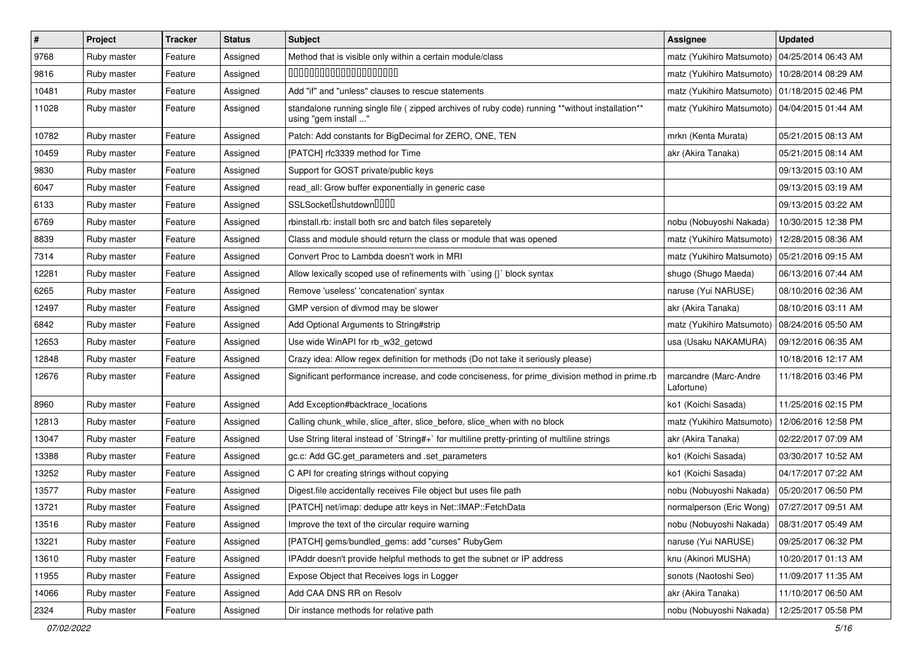| #     | Project     | <b>Tracker</b> | <b>Status</b> | <b>Subject</b>                                                                                                         | Assignee                            | <b>Updated</b>      |
|-------|-------------|----------------|---------------|------------------------------------------------------------------------------------------------------------------------|-------------------------------------|---------------------|
| 9768  | Ruby master | Feature        | Assigned      | Method that is visible only within a certain module/class                                                              | matz (Yukihiro Matsumoto)           | 04/25/2014 06:43 AM |
| 9816  | Ruby master | Feature        | Assigned      | 00000000000000000000                                                                                                   | matz (Yukihiro Matsumoto)           | 10/28/2014 08:29 AM |
| 10481 | Ruby master | Feature        | Assigned      | Add "if" and "unless" clauses to rescue statements                                                                     | matz (Yukihiro Matsumoto)           | 01/18/2015 02:46 PM |
| 11028 | Ruby master | Feature        | Assigned      | standalone running single file (zipped archives of ruby code) running **without installation**<br>using "gem install " | matz (Yukihiro Matsumoto)           | 04/04/2015 01:44 AM |
| 10782 | Ruby master | Feature        | Assigned      | Patch: Add constants for BigDecimal for ZERO, ONE, TEN                                                                 | mrkn (Kenta Murata)                 | 05/21/2015 08:13 AM |
| 10459 | Ruby master | Feature        | Assigned      | [PATCH] rfc3339 method for Time                                                                                        | akr (Akira Tanaka)                  | 05/21/2015 08:14 AM |
| 9830  | Ruby master | Feature        | Assigned      | Support for GOST private/public keys                                                                                   |                                     | 09/13/2015 03:10 AM |
| 6047  | Ruby master | Feature        | Assigned      | read_all: Grow buffer exponentially in generic case                                                                    |                                     | 09/13/2015 03:19 AM |
| 6133  | Ruby master | Feature        | Assigned      | SSLSocket <sup>[</sup> shutdown <sup>[11]</sup>                                                                        |                                     | 09/13/2015 03:22 AM |
| 6769  | Ruby master | Feature        | Assigned      | rbinstall.rb: install both src and batch files separetely                                                              | nobu (Nobuyoshi Nakada)             | 10/30/2015 12:38 PM |
| 8839  | Ruby master | Feature        | Assigned      | Class and module should return the class or module that was opened                                                     | matz (Yukihiro Matsumoto)           | 12/28/2015 08:36 AM |
| 7314  | Ruby master | Feature        | Assigned      | Convert Proc to Lambda doesn't work in MRI                                                                             | matz (Yukihiro Matsumoto)           | 05/21/2016 09:15 AM |
| 12281 | Ruby master | Feature        | Assigned      | Allow lexically scoped use of refinements with `using {}` block syntax                                                 | shugo (Shugo Maeda)                 | 06/13/2016 07:44 AM |
| 6265  | Ruby master | Feature        | Assigned      | Remove 'useless' 'concatenation' syntax                                                                                | naruse (Yui NARUSE)                 | 08/10/2016 02:36 AM |
| 12497 | Ruby master | Feature        | Assigned      | GMP version of divmod may be slower                                                                                    | akr (Akira Tanaka)                  | 08/10/2016 03:11 AM |
| 6842  | Ruby master | Feature        | Assigned      | Add Optional Arguments to String#strip                                                                                 | matz (Yukihiro Matsumoto)           | 08/24/2016 05:50 AM |
| 12653 | Ruby master | Feature        | Assigned      | Use wide WinAPI for rb_w32_getcwd                                                                                      | usa (Usaku NAKAMURA)                | 09/12/2016 06:35 AM |
| 12848 | Ruby master | Feature        | Assigned      | Crazy idea: Allow regex definition for methods (Do not take it seriously please)                                       |                                     | 10/18/2016 12:17 AM |
| 12676 | Ruby master | Feature        | Assigned      | Significant performance increase, and code conciseness, for prime_division method in prime.rb                          | marcandre (Marc-Andre<br>Lafortune) | 11/18/2016 03:46 PM |
| 8960  | Ruby master | Feature        | Assigned      | Add Exception#backtrace_locations                                                                                      | ko1 (Koichi Sasada)                 | 11/25/2016 02:15 PM |
| 12813 | Ruby master | Feature        | Assigned      | Calling chunk_while, slice_after, slice_before, slice_when with no block                                               | matz (Yukihiro Matsumoto)           | 12/06/2016 12:58 PM |
| 13047 | Ruby master | Feature        | Assigned      | Use String literal instead of `String#+` for multiline pretty-printing of multiline strings                            | akr (Akira Tanaka)                  | 02/22/2017 07:09 AM |
| 13388 | Ruby master | Feature        | Assigned      | gc.c: Add GC.get_parameters and .set_parameters                                                                        | ko1 (Koichi Sasada)                 | 03/30/2017 10:52 AM |
| 13252 | Ruby master | Feature        | Assigned      | C API for creating strings without copying                                                                             | ko1 (Koichi Sasada)                 | 04/17/2017 07:22 AM |
| 13577 | Ruby master | Feature        | Assigned      | Digest.file accidentally receives File object but uses file path                                                       | nobu (Nobuyoshi Nakada)             | 05/20/2017 06:50 PM |
| 13721 | Ruby master | Feature        | Assigned      | [PATCH] net/imap: dedupe attr keys in Net::IMAP::FetchData                                                             | normalperson (Eric Wong)            | 07/27/2017 09:51 AM |
| 13516 | Ruby master | Feature        | Assigned      | Improve the text of the circular require warning                                                                       | nobu (Nobuyoshi Nakada)             | 08/31/2017 05:49 AM |
| 13221 | Ruby master | Feature        | Assigned      | [PATCH] gems/bundled_gems: add "curses" RubyGem                                                                        | naruse (Yui NARUSE)                 | 09/25/2017 06:32 PM |
| 13610 | Ruby master | Feature        | Assigned      | IPAddr doesn't provide helpful methods to get the subnet or IP address                                                 | knu (Akinori MUSHA)                 | 10/20/2017 01:13 AM |
| 11955 | Ruby master | Feature        | Assigned      | Expose Object that Receives logs in Logger                                                                             | sonots (Naotoshi Seo)               | 11/09/2017 11:35 AM |
| 14066 | Ruby master | Feature        | Assigned      | Add CAA DNS RR on Resolv                                                                                               | akr (Akira Tanaka)                  | 11/10/2017 06:50 AM |
| 2324  | Ruby master | Feature        | Assigned      | Dir instance methods for relative path                                                                                 | nobu (Nobuyoshi Nakada)             | 12/25/2017 05:58 PM |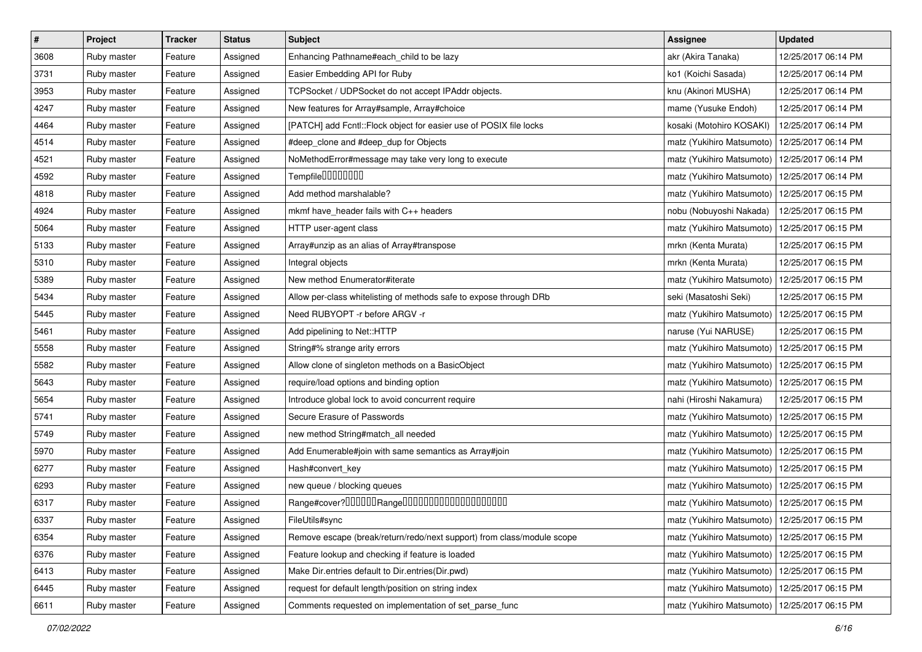| $\sharp$ | Project     | <b>Tracker</b> | <b>Status</b> | <b>Subject</b>                                                         | Assignee                                        | <b>Updated</b>      |
|----------|-------------|----------------|---------------|------------------------------------------------------------------------|-------------------------------------------------|---------------------|
| 3608     | Ruby master | Feature        | Assigned      | Enhancing Pathname#each_child to be lazy                               | akr (Akira Tanaka)                              | 12/25/2017 06:14 PM |
| 3731     | Ruby master | Feature        | Assigned      | Easier Embedding API for Ruby                                          | ko1 (Koichi Sasada)                             | 12/25/2017 06:14 PM |
| 3953     | Ruby master | Feature        | Assigned      | TCPSocket / UDPSocket do not accept IPAddr objects.                    | knu (Akinori MUSHA)                             | 12/25/2017 06:14 PM |
| 4247     | Ruby master | Feature        | Assigned      | New features for Array#sample, Array#choice                            | mame (Yusuke Endoh)                             | 12/25/2017 06:14 PM |
| 4464     | Ruby master | Feature        | Assigned      | [PATCH] add Fcntl::Flock object for easier use of POSIX file locks     | kosaki (Motohiro KOSAKI)                        | 12/25/2017 06:14 PM |
| 4514     | Ruby master | Feature        | Assigned      | #deep_clone and #deep_dup for Objects                                  | matz (Yukihiro Matsumoto)                       | 12/25/2017 06:14 PM |
| 4521     | Ruby master | Feature        | Assigned      | NoMethodError#message may take very long to execute                    | matz (Yukihiro Matsumoto)                       | 12/25/2017 06:14 PM |
| 4592     | Ruby master | Feature        | Assigned      | Tempfile0000000                                                        | matz (Yukihiro Matsumoto)                       | 12/25/2017 06:14 PM |
| 4818     | Ruby master | Feature        | Assigned      | Add method marshalable?                                                | matz (Yukihiro Matsumoto)                       | 12/25/2017 06:15 PM |
| 4924     | Ruby master | Feature        | Assigned      | mkmf have_header fails with C++ headers                                | nobu (Nobuyoshi Nakada)                         | 12/25/2017 06:15 PM |
| 5064     | Ruby master | Feature        | Assigned      | HTTP user-agent class                                                  | matz (Yukihiro Matsumoto)                       | 12/25/2017 06:15 PM |
| 5133     | Ruby master | Feature        | Assigned      | Array#unzip as an alias of Array#transpose                             | mrkn (Kenta Murata)                             | 12/25/2017 06:15 PM |
| 5310     | Ruby master | Feature        | Assigned      | Integral objects                                                       | mrkn (Kenta Murata)                             | 12/25/2017 06:15 PM |
| 5389     | Ruby master | Feature        | Assigned      | New method Enumerator#iterate                                          | matz (Yukihiro Matsumoto)                       | 12/25/2017 06:15 PM |
| 5434     | Ruby master | Feature        | Assigned      | Allow per-class whitelisting of methods safe to expose through DRb     | seki (Masatoshi Seki)                           | 12/25/2017 06:15 PM |
| 5445     | Ruby master | Feature        | Assigned      | Need RUBYOPT -r before ARGV -r                                         | matz (Yukihiro Matsumoto)                       | 12/25/2017 06:15 PM |
| 5461     | Ruby master | Feature        | Assigned      | Add pipelining to Net::HTTP                                            | naruse (Yui NARUSE)                             | 12/25/2017 06:15 PM |
| 5558     | Ruby master | Feature        | Assigned      | String#% strange arity errors                                          | matz (Yukihiro Matsumoto)                       | 12/25/2017 06:15 PM |
| 5582     | Ruby master | Feature        | Assigned      | Allow clone of singleton methods on a BasicObject                      | matz (Yukihiro Matsumoto)                       | 12/25/2017 06:15 PM |
| 5643     | Ruby master | Feature        | Assigned      | require/load options and binding option                                | matz (Yukihiro Matsumoto)                       | 12/25/2017 06:15 PM |
| 5654     | Ruby master | Feature        | Assigned      | Introduce global lock to avoid concurrent require                      | nahi (Hiroshi Nakamura)                         | 12/25/2017 06:15 PM |
| 5741     | Ruby master | Feature        | Assigned      | Secure Erasure of Passwords                                            | matz (Yukihiro Matsumoto)                       | 12/25/2017 06:15 PM |
| 5749     | Ruby master | Feature        | Assigned      | new method String#match_all needed                                     | matz (Yukihiro Matsumoto)                       | 12/25/2017 06:15 PM |
| 5970     | Ruby master | Feature        | Assigned      | Add Enumerable#join with same semantics as Array#join                  | matz (Yukihiro Matsumoto)                       | 12/25/2017 06:15 PM |
| 6277     | Ruby master | Feature        | Assigned      | Hash#convert_key                                                       | matz (Yukihiro Matsumoto)                       | 12/25/2017 06:15 PM |
| 6293     | Ruby master | Feature        | Assigned      | new queue / blocking queues                                            | matz (Yukihiro Matsumoto)                       | 12/25/2017 06:15 PM |
| 6317     | Ruby master | Feature        | Assigned      | Range#cover?000000Range00000000000000000000                            | matz (Yukihiro Matsumoto)                       | 12/25/2017 06:15 PM |
| 6337     | Ruby master | Feature        | Assigned      | FileUtils#sync                                                         | matz (Yukihiro Matsumoto)   12/25/2017 06:15 PM |                     |
| 6354     | Ruby master | Feature        | Assigned      | Remove escape (break/return/redo/next support) from class/module scope | matz (Yukihiro Matsumoto)                       | 12/25/2017 06:15 PM |
| 6376     | Ruby master | Feature        | Assigned      | Feature lookup and checking if feature is loaded                       | matz (Yukihiro Matsumoto)                       | 12/25/2017 06:15 PM |
| 6413     | Ruby master | Feature        | Assigned      | Make Dir.entries default to Dir.entries(Dir.pwd)                       | matz (Yukihiro Matsumoto)                       | 12/25/2017 06:15 PM |
| 6445     | Ruby master | Feature        | Assigned      | request for default length/position on string index                    | matz (Yukihiro Matsumoto)                       | 12/25/2017 06:15 PM |
| 6611     | Ruby master | Feature        | Assigned      | Comments requested on implementation of set_parse_func                 | matz (Yukihiro Matsumoto)                       | 12/25/2017 06:15 PM |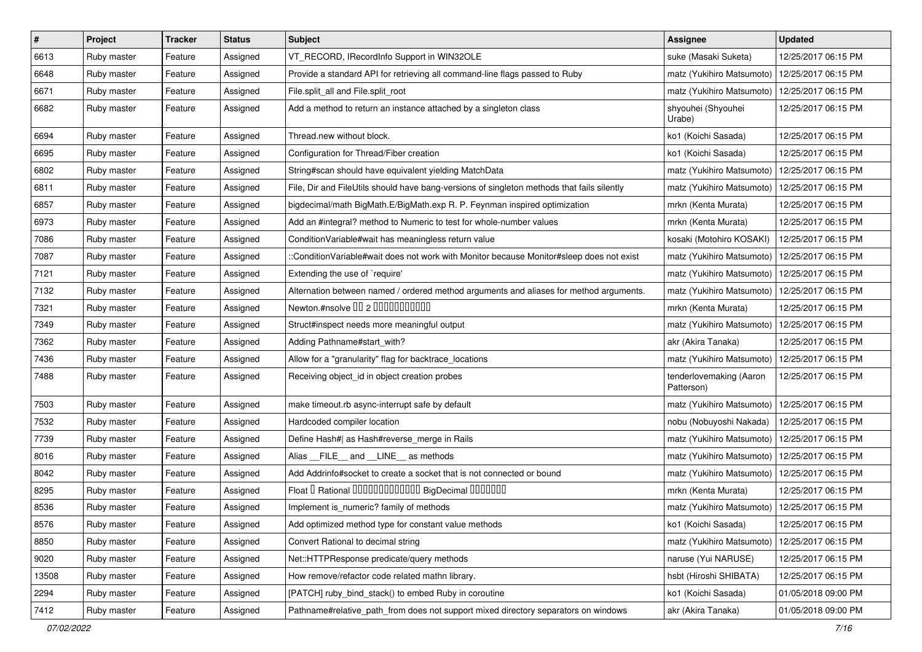| $\vert$ # | Project     | <b>Tracker</b> | <b>Status</b> | Subject                                                                                    | Assignee                              | <b>Updated</b>      |
|-----------|-------------|----------------|---------------|--------------------------------------------------------------------------------------------|---------------------------------------|---------------------|
| 6613      | Ruby master | Feature        | Assigned      | VT_RECORD, IRecordInfo Support in WIN32OLE                                                 | suke (Masaki Suketa)                  | 12/25/2017 06:15 PM |
| 6648      | Ruby master | Feature        | Assigned      | Provide a standard API for retrieving all command-line flags passed to Ruby                | matz (Yukihiro Matsumoto)             | 12/25/2017 06:15 PM |
| 6671      | Ruby master | Feature        | Assigned      | File.split all and File.split root                                                         | matz (Yukihiro Matsumoto)             | 12/25/2017 06:15 PM |
| 6682      | Ruby master | Feature        | Assigned      | Add a method to return an instance attached by a singleton class                           | shyouhei (Shyouhei<br>Urabe)          | 12/25/2017 06:15 PM |
| 6694      | Ruby master | Feature        | Assigned      | Thread.new without block.                                                                  | ko1 (Koichi Sasada)                   | 12/25/2017 06:15 PM |
| 6695      | Ruby master | Feature        | Assigned      | Configuration for Thread/Fiber creation                                                    | ko1 (Koichi Sasada)                   | 12/25/2017 06:15 PM |
| 6802      | Ruby master | Feature        | Assigned      | String#scan should have equivalent yielding MatchData                                      | matz (Yukihiro Matsumoto)             | 12/25/2017 06:15 PM |
| 6811      | Ruby master | Feature        | Assigned      | File, Dir and FileUtils should have bang-versions of singleton methods that fails silently | matz (Yukihiro Matsumoto)             | 12/25/2017 06:15 PM |
| 6857      | Ruby master | Feature        | Assigned      | bigdecimal/math BigMath.E/BigMath.exp R. P. Feynman inspired optimization                  | mrkn (Kenta Murata)                   | 12/25/2017 06:15 PM |
| 6973      | Ruby master | Feature        | Assigned      | Add an #integral? method to Numeric to test for whole-number values                        | mrkn (Kenta Murata)                   | 12/25/2017 06:15 PM |
| 7086      | Ruby master | Feature        | Assigned      | ConditionVariable#wait has meaningless return value                                        | kosaki (Motohiro KOSAKI)              | 12/25/2017 06:15 PM |
| 7087      | Ruby master | Feature        | Assigned      | ::ConditionVariable#wait does not work with Monitor because Monitor#sleep does not exist   | matz (Yukihiro Matsumoto)             | 12/25/2017 06:15 PM |
| 7121      | Ruby master | Feature        | Assigned      | Extending the use of `require'                                                             | matz (Yukihiro Matsumoto)             | 12/25/2017 06:15 PM |
| 7132      | Ruby master | Feature        | Assigned      | Alternation between named / ordered method arguments and aliases for method arguments.     | matz (Yukihiro Matsumoto)             | 12/25/2017 06:15 PM |
| 7321      | Ruby master | Feature        | Assigned      | Newton.#nsolve 00 2 0000000000                                                             | mrkn (Kenta Murata)                   | 12/25/2017 06:15 PM |
| 7349      | Ruby master | Feature        | Assigned      | Struct#inspect needs more meaningful output                                                | matz (Yukihiro Matsumoto)             | 12/25/2017 06:15 PM |
| 7362      | Ruby master | Feature        | Assigned      | Adding Pathname#start_with?                                                                | akr (Akira Tanaka)                    | 12/25/2017 06:15 PM |
| 7436      | Ruby master | Feature        | Assigned      | Allow for a "granularity" flag for backtrace_locations                                     | matz (Yukihiro Matsumoto)             | 12/25/2017 06:15 PM |
| 7488      | Ruby master | Feature        | Assigned      | Receiving object_id in object creation probes                                              | tenderlovemaking (Aaron<br>Patterson) | 12/25/2017 06:15 PM |
| 7503      | Ruby master | Feature        | Assigned      | make timeout.rb async-interrupt safe by default                                            | matz (Yukihiro Matsumoto)             | 12/25/2017 06:15 PM |
| 7532      | Ruby master | Feature        | Assigned      | Hardcoded compiler location                                                                | nobu (Nobuyoshi Nakada)               | 12/25/2017 06:15 PM |
| 7739      | Ruby master | Feature        | Assigned      | Define Hash#  as Hash#reverse_merge in Rails                                               | matz (Yukihiro Matsumoto)             | 12/25/2017 06:15 PM |
| 8016      | Ruby master | Feature        | Assigned      | Alias FILE and LINE as methods                                                             | matz (Yukihiro Matsumoto)             | 12/25/2017 06:15 PM |
| 8042      | Ruby master | Feature        | Assigned      | Add Addrinfo#socket to create a socket that is not connected or bound                      | matz (Yukihiro Matsumoto)             | 12/25/2017 06:15 PM |
| 8295      | Ruby master | Feature        | Assigned      | Float I Rational 0000000000000 BigDecimal 0000000                                          | mrkn (Kenta Murata)                   | 12/25/2017 06:15 PM |
| 8536      | Ruby master | Feature        | Assigned      | Implement is_numeric? family of methods                                                    | matz (Yukihiro Matsumoto)             | 12/25/2017 06:15 PM |
| 8576      | Ruby master | Feature        | Assigned      | Add optimized method type for constant value methods                                       | ko1 (Koichi Sasada)                   | 12/25/2017 06:15 PM |
| 8850      | Ruby master | Feature        | Assigned      | Convert Rational to decimal string                                                         | matz (Yukihiro Matsumoto)             | 12/25/2017 06:15 PM |
| 9020      | Ruby master | Feature        | Assigned      | Net::HTTPResponse predicate/query methods                                                  | naruse (Yui NARUSE)                   | 12/25/2017 06:15 PM |
| 13508     | Ruby master | Feature        | Assigned      | How remove/refactor code related mathn library.                                            | hsbt (Hiroshi SHIBATA)                | 12/25/2017 06:15 PM |
| 2294      | Ruby master | Feature        | Assigned      | [PATCH] ruby bind stack() to embed Ruby in coroutine                                       | ko1 (Koichi Sasada)                   | 01/05/2018 09:00 PM |
| 7412      | Ruby master | Feature        | Assigned      | Pathname#relative_path_from does not support mixed directory separators on windows         | akr (Akira Tanaka)                    | 01/05/2018 09:00 PM |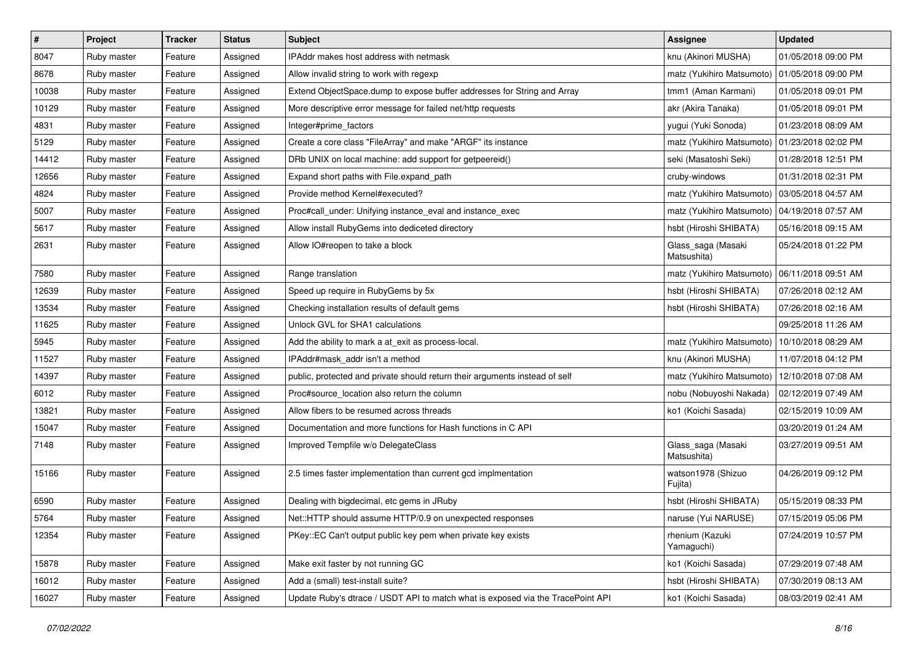| $\pmb{\#}$ | Project     | <b>Tracker</b> | <b>Status</b> | <b>Subject</b>                                                                  | Assignee                          | <b>Updated</b>      |
|------------|-------------|----------------|---------------|---------------------------------------------------------------------------------|-----------------------------------|---------------------|
| 8047       | Ruby master | Feature        | Assigned      | IPAddr makes host address with netmask                                          | knu (Akinori MUSHA)               | 01/05/2018 09:00 PM |
| 8678       | Ruby master | Feature        | Assigned      | Allow invalid string to work with regexp                                        | matz (Yukihiro Matsumoto)         | 01/05/2018 09:00 PM |
| 10038      | Ruby master | Feature        | Assigned      | Extend ObjectSpace.dump to expose buffer addresses for String and Array         | tmm1 (Aman Karmani)               | 01/05/2018 09:01 PM |
| 10129      | Ruby master | Feature        | Assigned      | More descriptive error message for failed net/http requests                     | akr (Akira Tanaka)                | 01/05/2018 09:01 PM |
| 4831       | Ruby master | Feature        | Assigned      | Integer#prime_factors                                                           | yugui (Yuki Sonoda)               | 01/23/2018 08:09 AM |
| 5129       | Ruby master | Feature        | Assigned      | Create a core class "FileArray" and make "ARGF" its instance                    | matz (Yukihiro Matsumoto)         | 01/23/2018 02:02 PM |
| 14412      | Ruby master | Feature        | Assigned      | DRb UNIX on local machine: add support for getpeereid()                         | seki (Masatoshi Seki)             | 01/28/2018 12:51 PM |
| 12656      | Ruby master | Feature        | Assigned      | Expand short paths with File.expand path                                        | cruby-windows                     | 01/31/2018 02:31 PM |
| 4824       | Ruby master | Feature        | Assigned      | Provide method Kernel#executed?                                                 | matz (Yukihiro Matsumoto)         | 03/05/2018 04:57 AM |
| 5007       | Ruby master | Feature        | Assigned      | Proc#call_under: Unifying instance_eval and instance_exec                       | matz (Yukihiro Matsumoto)         | 04/19/2018 07:57 AM |
| 5617       | Ruby master | Feature        | Assigned      | Allow install RubyGems into dediceted directory                                 | hsbt (Hiroshi SHIBATA)            | 05/16/2018 09:15 AM |
| 2631       | Ruby master | Feature        | Assigned      | Allow IO#reopen to take a block                                                 | Glass_saga (Masaki<br>Matsushita) | 05/24/2018 01:22 PM |
| 7580       | Ruby master | Feature        | Assigned      | Range translation                                                               | matz (Yukihiro Matsumoto)         | 06/11/2018 09:51 AM |
| 12639      | Ruby master | Feature        | Assigned      | Speed up require in RubyGems by 5x                                              | hsbt (Hiroshi SHIBATA)            | 07/26/2018 02:12 AM |
| 13534      | Ruby master | Feature        | Assigned      | Checking installation results of default gems                                   | hsbt (Hiroshi SHIBATA)            | 07/26/2018 02:16 AM |
| 11625      | Ruby master | Feature        | Assigned      | Unlock GVL for SHA1 calculations                                                |                                   | 09/25/2018 11:26 AM |
| 5945       | Ruby master | Feature        | Assigned      | Add the ability to mark a at_exit as process-local.                             | matz (Yukihiro Matsumoto)         | 10/10/2018 08:29 AM |
| 11527      | Ruby master | Feature        | Assigned      | IPAddr#mask addr isn't a method                                                 | knu (Akinori MUSHA)               | 11/07/2018 04:12 PM |
| 14397      | Ruby master | Feature        | Assigned      | public, protected and private should return their arguments instead of self     | matz (Yukihiro Matsumoto)         | 12/10/2018 07:08 AM |
| 6012       | Ruby master | Feature        | Assigned      | Proc#source_location also return the column                                     | nobu (Nobuyoshi Nakada)           | 02/12/2019 07:49 AM |
| 13821      | Ruby master | Feature        | Assigned      | Allow fibers to be resumed across threads                                       | ko1 (Koichi Sasada)               | 02/15/2019 10:09 AM |
| 15047      | Ruby master | Feature        | Assigned      | Documentation and more functions for Hash functions in C API                    |                                   | 03/20/2019 01:24 AM |
| 7148       | Ruby master | Feature        | Assigned      | Improved Tempfile w/o DelegateClass                                             | Glass_saga (Masaki<br>Matsushita) | 03/27/2019 09:51 AM |
| 15166      | Ruby master | Feature        | Assigned      | 2.5 times faster implementation than current gcd implmentation                  | watson1978 (Shizuo<br>Fujita)     | 04/26/2019 09:12 PM |
| 6590       | Ruby master | Feature        | Assigned      | Dealing with bigdecimal, etc gems in JRuby                                      | hsbt (Hiroshi SHIBATA)            | 05/15/2019 08:33 PM |
| 5764       | Ruby master | Feature        | Assigned      | Net::HTTP should assume HTTP/0.9 on unexpected responses                        | naruse (Yui NARUSE)               | 07/15/2019 05:06 PM |
| 12354      | Ruby master | Feature        | Assigned      | PKey::EC Can't output public key pem when private key exists                    | rhenium (Kazuki<br>Yamaguchi)     | 07/24/2019 10:57 PM |
| 15878      | Ruby master | Feature        | Assigned      | Make exit faster by not running GC                                              | ko1 (Koichi Sasada)               | 07/29/2019 07:48 AM |
| 16012      | Ruby master | Feature        | Assigned      | Add a (small) test-install suite?                                               | hsbt (Hiroshi SHIBATA)            | 07/30/2019 08:13 AM |
| 16027      | Ruby master | Feature        | Assigned      | Update Ruby's dtrace / USDT API to match what is exposed via the TracePoint API | ko1 (Koichi Sasada)               | 08/03/2019 02:41 AM |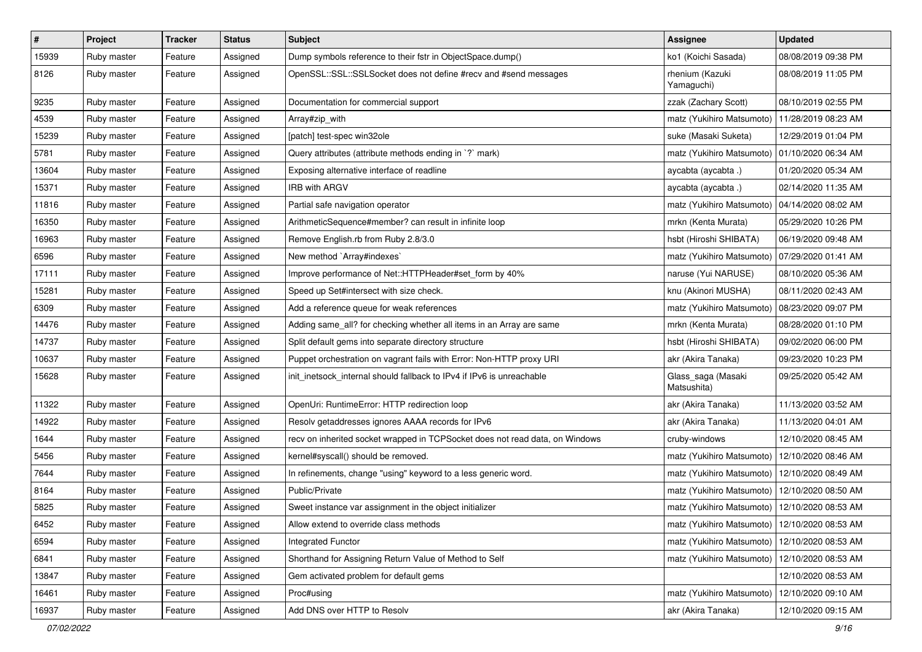| $\sharp$ | Project     | <b>Tracker</b> | <b>Status</b> | <b>Subject</b>                                                               | <b>Assignee</b>                                 | <b>Updated</b>      |
|----------|-------------|----------------|---------------|------------------------------------------------------------------------------|-------------------------------------------------|---------------------|
| 15939    | Ruby master | Feature        | Assigned      | Dump symbols reference to their fstr in ObjectSpace.dump()                   | ko1 (Koichi Sasada)                             | 08/08/2019 09:38 PM |
| 8126     | Ruby master | Feature        | Assigned      | OpenSSL::SSL::SSLSocket does not define #recv and #send messages             | rhenium (Kazuki<br>Yamaguchi)                   | 08/08/2019 11:05 PM |
| 9235     | Ruby master | Feature        | Assigned      | Documentation for commercial support                                         | zzak (Zachary Scott)                            | 08/10/2019 02:55 PM |
| 4539     | Ruby master | Feature        | Assigned      | Array#zip_with                                                               | matz (Yukihiro Matsumoto)                       | 11/28/2019 08:23 AM |
| 15239    | Ruby master | Feature        | Assigned      | [patch] test-spec win32ole                                                   | suke (Masaki Suketa)                            | 12/29/2019 01:04 PM |
| 5781     | Ruby master | Feature        | Assigned      | Query attributes (attribute methods ending in `?` mark)                      | matz (Yukihiro Matsumoto)                       | 01/10/2020 06:34 AM |
| 13604    | Ruby master | Feature        | Assigned      | Exposing alternative interface of readline                                   | aycabta (aycabta.)                              | 01/20/2020 05:34 AM |
| 15371    | Ruby master | Feature        | Assigned      | <b>IRB with ARGV</b>                                                         | aycabta (aycabta.)                              | 02/14/2020 11:35 AM |
| 11816    | Ruby master | Feature        | Assigned      | Partial safe navigation operator                                             | matz (Yukihiro Matsumoto)                       | 04/14/2020 08:02 AM |
| 16350    | Ruby master | Feature        | Assigned      | ArithmeticSequence#member? can result in infinite loop                       | mrkn (Kenta Murata)                             | 05/29/2020 10:26 PM |
| 16963    | Ruby master | Feature        | Assigned      | Remove English.rb from Ruby 2.8/3.0                                          | hsbt (Hiroshi SHIBATA)                          | 06/19/2020 09:48 AM |
| 6596     | Ruby master | Feature        | Assigned      | New method `Array#indexes`                                                   | matz (Yukihiro Matsumoto)                       | 07/29/2020 01:41 AM |
| 17111    | Ruby master | Feature        | Assigned      | Improve performance of Net::HTTPHeader#set_form by 40%                       | naruse (Yui NARUSE)                             | 08/10/2020 05:36 AM |
| 15281    | Ruby master | Feature        | Assigned      | Speed up Set#intersect with size check.                                      | knu (Akinori MUSHA)                             | 08/11/2020 02:43 AM |
| 6309     | Ruby master | Feature        | Assigned      | Add a reference queue for weak references                                    | matz (Yukihiro Matsumoto)                       | 08/23/2020 09:07 PM |
| 14476    | Ruby master | Feature        | Assigned      | Adding same_all? for checking whether all items in an Array are same         | mrkn (Kenta Murata)                             | 08/28/2020 01:10 PM |
| 14737    | Ruby master | Feature        | Assigned      | Split default gems into separate directory structure                         | hsbt (Hiroshi SHIBATA)                          | 09/02/2020 06:00 PM |
| 10637    | Ruby master | Feature        | Assigned      | Puppet orchestration on vagrant fails with Error: Non-HTTP proxy URI         | akr (Akira Tanaka)                              | 09/23/2020 10:23 PM |
| 15628    | Ruby master | Feature        | Assigned      | init_inetsock_internal should fallback to IPv4 if IPv6 is unreachable        | Glass_saga (Masaki<br>Matsushita)               | 09/25/2020 05:42 AM |
| 11322    | Ruby master | Feature        | Assigned      | OpenUri: RuntimeError: HTTP redirection loop                                 | akr (Akira Tanaka)                              | 11/13/2020 03:52 AM |
| 14922    | Ruby master | Feature        | Assigned      | Resolv getaddresses ignores AAAA records for IPv6                            | akr (Akira Tanaka)                              | 11/13/2020 04:01 AM |
| 1644     | Ruby master | Feature        | Assigned      | recv on inherited socket wrapped in TCPSocket does not read data, on Windows | cruby-windows                                   | 12/10/2020 08:45 AM |
| 5456     | Ruby master | Feature        | Assigned      | kernel#syscall() should be removed.                                          | matz (Yukihiro Matsumoto)                       | 12/10/2020 08:46 AM |
| 7644     | Ruby master | Feature        | Assigned      | In refinements, change "using" keyword to a less generic word.               | matz (Yukihiro Matsumoto)                       | 12/10/2020 08:49 AM |
| 8164     | Ruby master | Feature        | Assigned      | Public/Private                                                               | matz (Yukihiro Matsumoto)                       | 12/10/2020 08:50 AM |
| 5825     | Ruby master | Feature        | Assigned      | Sweet instance var assignment in the object initializer                      | matz (Yukihiro Matsumoto)                       | 12/10/2020 08:53 AM |
| 6452     | Ruby master | Feature        | Assigned      | Allow extend to override class methods                                       | matz (Yukihiro Matsumoto)   12/10/2020 08:53 AM |                     |
| 6594     | Ruby master | Feature        | Assigned      | Integrated Functor                                                           | matz (Yukihiro Matsumoto)                       | 12/10/2020 08:53 AM |
| 6841     | Ruby master | Feature        | Assigned      | Shorthand for Assigning Return Value of Method to Self                       | matz (Yukihiro Matsumoto)                       | 12/10/2020 08:53 AM |
| 13847    | Ruby master | Feature        | Assigned      | Gem activated problem for default gems                                       |                                                 | 12/10/2020 08:53 AM |
| 16461    | Ruby master | Feature        | Assigned      | Proc#using                                                                   | matz (Yukihiro Matsumoto)                       | 12/10/2020 09:10 AM |
| 16937    | Ruby master | Feature        | Assigned      | Add DNS over HTTP to Resolv                                                  | akr (Akira Tanaka)                              | 12/10/2020 09:15 AM |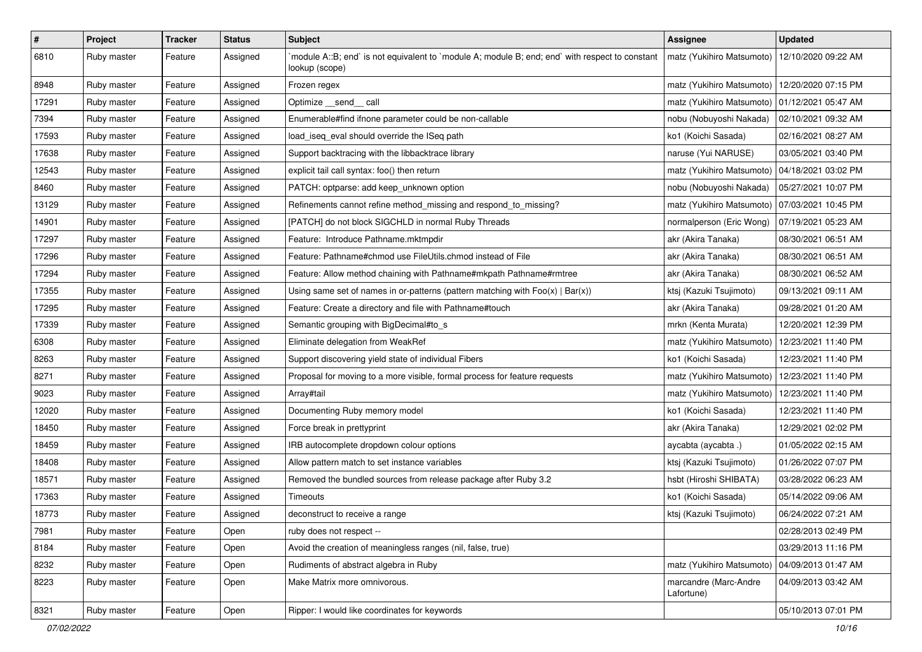| $\vert$ # | Project     | <b>Tracker</b> | <b>Status</b> | <b>Subject</b>                                                                                                    | Assignee                            | <b>Updated</b>      |
|-----------|-------------|----------------|---------------|-------------------------------------------------------------------------------------------------------------------|-------------------------------------|---------------------|
| 6810      | Ruby master | Feature        | Assigned      | module A::B; end` is not equivalent to `module A; module B; end; end` with respect to constant`<br>lookup (scope) | matz (Yukihiro Matsumoto)           | 12/10/2020 09:22 AM |
| 8948      | Ruby master | Feature        | Assigned      | Frozen regex                                                                                                      | matz (Yukihiro Matsumoto)           | 12/20/2020 07:15 PM |
| 17291     | Ruby master | Feature        | Assigned      | Optimize __send__ call                                                                                            | matz (Yukihiro Matsumoto)           | 01/12/2021 05:47 AM |
| 7394      | Ruby master | Feature        | Assigned      | Enumerable#find ifnone parameter could be non-callable                                                            | nobu (Nobuyoshi Nakada)             | 02/10/2021 09:32 AM |
| 17593     | Ruby master | Feature        | Assigned      | load iseg eval should override the ISeg path                                                                      | ko1 (Koichi Sasada)                 | 02/16/2021 08:27 AM |
| 17638     | Ruby master | Feature        | Assigned      | Support backtracing with the libbacktrace library                                                                 | naruse (Yui NARUSE)                 | 03/05/2021 03:40 PM |
| 12543     | Ruby master | Feature        | Assigned      | explicit tail call syntax: foo() then return                                                                      | matz (Yukihiro Matsumoto)           | 04/18/2021 03:02 PM |
| 8460      | Ruby master | Feature        | Assigned      | PATCH: optparse: add keep_unknown option                                                                          | nobu (Nobuyoshi Nakada)             | 05/27/2021 10:07 PM |
| 13129     | Ruby master | Feature        | Assigned      | Refinements cannot refine method_missing and respond_to_missing?                                                  | matz (Yukihiro Matsumoto)           | 07/03/2021 10:45 PM |
| 14901     | Ruby master | Feature        | Assigned      | [PATCH] do not block SIGCHLD in normal Ruby Threads                                                               | normalperson (Eric Wong)            | 07/19/2021 05:23 AM |
| 17297     | Ruby master | Feature        | Assigned      | Feature: Introduce Pathname.mktmpdir                                                                              | akr (Akira Tanaka)                  | 08/30/2021 06:51 AM |
| 17296     | Ruby master | Feature        | Assigned      | Feature: Pathname#chmod use FileUtils.chmod instead of File                                                       | akr (Akira Tanaka)                  | 08/30/2021 06:51 AM |
| 17294     | Ruby master | Feature        | Assigned      | Feature: Allow method chaining with Pathname#mkpath Pathname#rmtree                                               | akr (Akira Tanaka)                  | 08/30/2021 06:52 AM |
| 17355     | Ruby master | Feature        | Assigned      | Using same set of names in or-patterns (pattern matching with $Foo(x)   Bar(x)$ )                                 | ktsj (Kazuki Tsujimoto)             | 09/13/2021 09:11 AM |
| 17295     | Ruby master | Feature        | Assigned      | Feature: Create a directory and file with Pathname#touch                                                          | akr (Akira Tanaka)                  | 09/28/2021 01:20 AM |
| 17339     | Ruby master | Feature        | Assigned      | Semantic grouping with BigDecimal#to_s                                                                            | mrkn (Kenta Murata)                 | 12/20/2021 12:39 PM |
| 6308      | Ruby master | Feature        | Assigned      | Eliminate delegation from WeakRef                                                                                 | matz (Yukihiro Matsumoto)           | 12/23/2021 11:40 PM |
| 8263      | Ruby master | Feature        | Assigned      | Support discovering yield state of individual Fibers                                                              | ko1 (Koichi Sasada)                 | 12/23/2021 11:40 PM |
| 8271      | Ruby master | Feature        | Assigned      | Proposal for moving to a more visible, formal process for feature requests                                        | matz (Yukihiro Matsumoto)           | 12/23/2021 11:40 PM |
| 9023      | Ruby master | Feature        | Assigned      | Array#tail                                                                                                        | matz (Yukihiro Matsumoto)           | 12/23/2021 11:40 PM |
| 12020     | Ruby master | Feature        | Assigned      | Documenting Ruby memory model                                                                                     | ko1 (Koichi Sasada)                 | 12/23/2021 11:40 PM |
| 18450     | Ruby master | Feature        | Assigned      | Force break in prettyprint                                                                                        | akr (Akira Tanaka)                  | 12/29/2021 02:02 PM |
| 18459     | Ruby master | Feature        | Assigned      | IRB autocomplete dropdown colour options                                                                          | aycabta (aycabta.)                  | 01/05/2022 02:15 AM |
| 18408     | Ruby master | Feature        | Assigned      | Allow pattern match to set instance variables                                                                     | ktsj (Kazuki Tsujimoto)             | 01/26/2022 07:07 PM |
| 18571     | Ruby master | Feature        | Assigned      | Removed the bundled sources from release package after Ruby 3.2                                                   | hsbt (Hiroshi SHIBATA)              | 03/28/2022 06:23 AM |
| 17363     | Ruby master | Feature        | Assigned      | Timeouts                                                                                                          | ko1 (Koichi Sasada)                 | 05/14/2022 09:06 AM |
| 18773     | Ruby master | Feature        | Assigned      | deconstruct to receive a range                                                                                    | ktsj (Kazuki Tsujimoto)             | 06/24/2022 07:21 AM |
| 7981      | Ruby master | Feature        | Open          | ruby does not respect --                                                                                          |                                     | 02/28/2013 02:49 PM |
| 8184      | Ruby master | Feature        | Open          | Avoid the creation of meaningless ranges (nil, false, true)                                                       |                                     | 03/29/2013 11:16 PM |
| 8232      | Ruby master | Feature        | Open          | Rudiments of abstract algebra in Ruby                                                                             | matz (Yukihiro Matsumoto)           | 04/09/2013 01:47 AM |
| 8223      | Ruby master | Feature        | Open          | Make Matrix more omnivorous.                                                                                      | marcandre (Marc-Andre<br>Lafortune) | 04/09/2013 03:42 AM |
| 8321      | Ruby master | Feature        | Open          | Ripper: I would like coordinates for keywords                                                                     |                                     | 05/10/2013 07:01 PM |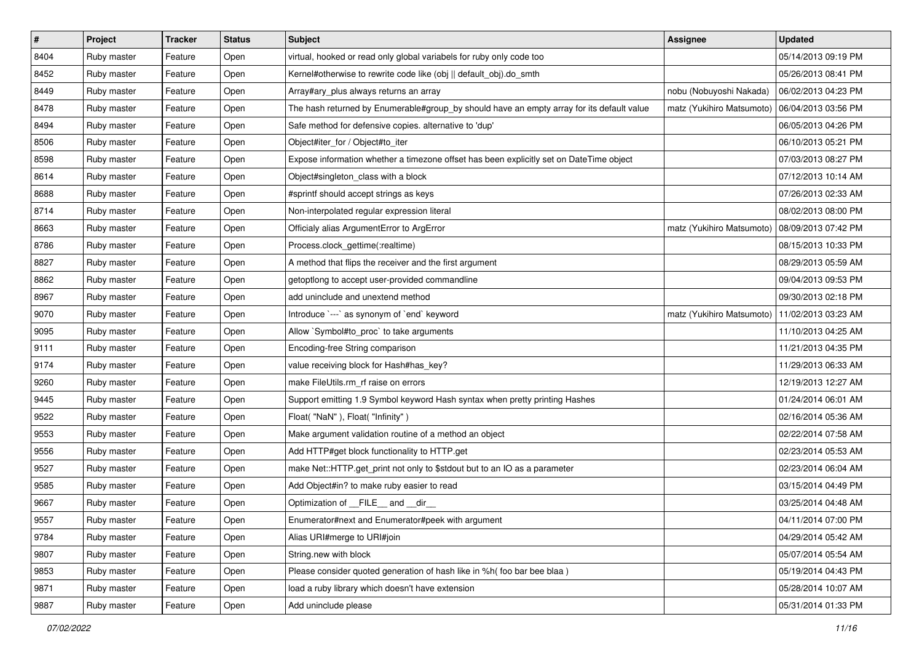| $\vert$ # | Project     | <b>Tracker</b> | <b>Status</b> | Subject                                                                                   | <b>Assignee</b>           | <b>Updated</b>      |
|-----------|-------------|----------------|---------------|-------------------------------------------------------------------------------------------|---------------------------|---------------------|
| 8404      | Ruby master | Feature        | Open          | virtual, hooked or read only global variabels for ruby only code too                      |                           | 05/14/2013 09:19 PM |
| 8452      | Ruby master | Feature        | Open          | Kernel#otherwise to rewrite code like (obj    default_obj).do_smth                        |                           | 05/26/2013 08:41 PM |
| 8449      | Ruby master | Feature        | Open          | Array#ary_plus always returns an array                                                    | nobu (Nobuyoshi Nakada)   | 06/02/2013 04:23 PM |
| 8478      | Ruby master | Feature        | Open          | The hash returned by Enumerable#group_by should have an empty array for its default value | matz (Yukihiro Matsumoto) | 06/04/2013 03:56 PM |
| 8494      | Ruby master | Feature        | Open          | Safe method for defensive copies. alternative to 'dup'                                    |                           | 06/05/2013 04:26 PM |
| 8506      | Ruby master | Feature        | Open          | Object#iter_for / Object#to_iter                                                          |                           | 06/10/2013 05:21 PM |
| 8598      | Ruby master | Feature        | Open          | Expose information whether a timezone offset has been explicitly set on DateTime object   |                           | 07/03/2013 08:27 PM |
| 8614      | Ruby master | Feature        | Open          | Object#singleton_class with a block                                                       |                           | 07/12/2013 10:14 AM |
| 8688      | Ruby master | Feature        | Open          | #sprintf should accept strings as keys                                                    |                           | 07/26/2013 02:33 AM |
| 8714      | Ruby master | Feature        | Open          | Non-interpolated regular expression literal                                               |                           | 08/02/2013 08:00 PM |
| 8663      | Ruby master | Feature        | Open          | Officialy alias ArgumentError to ArgError                                                 | matz (Yukihiro Matsumoto) | 08/09/2013 07:42 PM |
| 8786      | Ruby master | Feature        | Open          | Process.clock_gettime(:realtime)                                                          |                           | 08/15/2013 10:33 PM |
| 8827      | Ruby master | Feature        | Open          | A method that flips the receiver and the first argument                                   |                           | 08/29/2013 05:59 AM |
| 8862      | Ruby master | Feature        | Open          | getoptlong to accept user-provided commandline                                            |                           | 09/04/2013 09:53 PM |
| 8967      | Ruby master | Feature        | Open          | add uninclude and unextend method                                                         |                           | 09/30/2013 02:18 PM |
| 9070      | Ruby master | Feature        | Open          | Introduce `---` as synonym of `end` keyword                                               | matz (Yukihiro Matsumoto) | 11/02/2013 03:23 AM |
| 9095      | Ruby master | Feature        | Open          | Allow `Symbol#to_proc` to take arguments                                                  |                           | 11/10/2013 04:25 AM |
| 9111      | Ruby master | Feature        | Open          | Encoding-free String comparison                                                           |                           | 11/21/2013 04:35 PM |
| 9174      | Ruby master | Feature        | Open          | value receiving block for Hash#has_key?                                                   |                           | 11/29/2013 06:33 AM |
| 9260      | Ruby master | Feature        | Open          | make FileUtils.rm_rf raise on errors                                                      |                           | 12/19/2013 12:27 AM |
| 9445      | Ruby master | Feature        | Open          | Support emitting 1.9 Symbol keyword Hash syntax when pretty printing Hashes               |                           | 01/24/2014 06:01 AM |
| 9522      | Ruby master | Feature        | Open          | Float("NaN"), Float("Infinity")                                                           |                           | 02/16/2014 05:36 AM |
| 9553      | Ruby master | Feature        | Open          | Make argument validation routine of a method an object                                    |                           | 02/22/2014 07:58 AM |
| 9556      | Ruby master | Feature        | Open          | Add HTTP#get block functionality to HTTP.get                                              |                           | 02/23/2014 05:53 AM |
| 9527      | Ruby master | Feature        | Open          | make Net::HTTP.get_print not only to \$stdout but to an IO as a parameter                 |                           | 02/23/2014 06:04 AM |
| 9585      | Ruby master | Feature        | Open          | Add Object#in? to make ruby easier to read                                                |                           | 03/15/2014 04:49 PM |
| 9667      | Ruby master | Feature        | Open          | Optimization of FILE and dir                                                              |                           | 03/25/2014 04:48 AM |
| 9557      | Ruby master | Feature        | Open          | Enumerator#next and Enumerator#peek with argument                                         |                           | 04/11/2014 07:00 PM |
| 9784      | Ruby master | Feature        | Open          | Alias URI#merge to URI#join                                                               |                           | 04/29/2014 05:42 AM |
| 9807      | Ruby master | Feature        | Open          | String.new with block                                                                     |                           | 05/07/2014 05:54 AM |
| 9853      | Ruby master | Feature        | Open          | Please consider quoted generation of hash like in %h( foo bar bee blaa)                   |                           | 05/19/2014 04:43 PM |
| 9871      | Ruby master | Feature        | Open          | load a ruby library which doesn't have extension                                          |                           | 05/28/2014 10:07 AM |
| 9887      | Ruby master | Feature        | Open          | Add uninclude please                                                                      |                           | 05/31/2014 01:33 PM |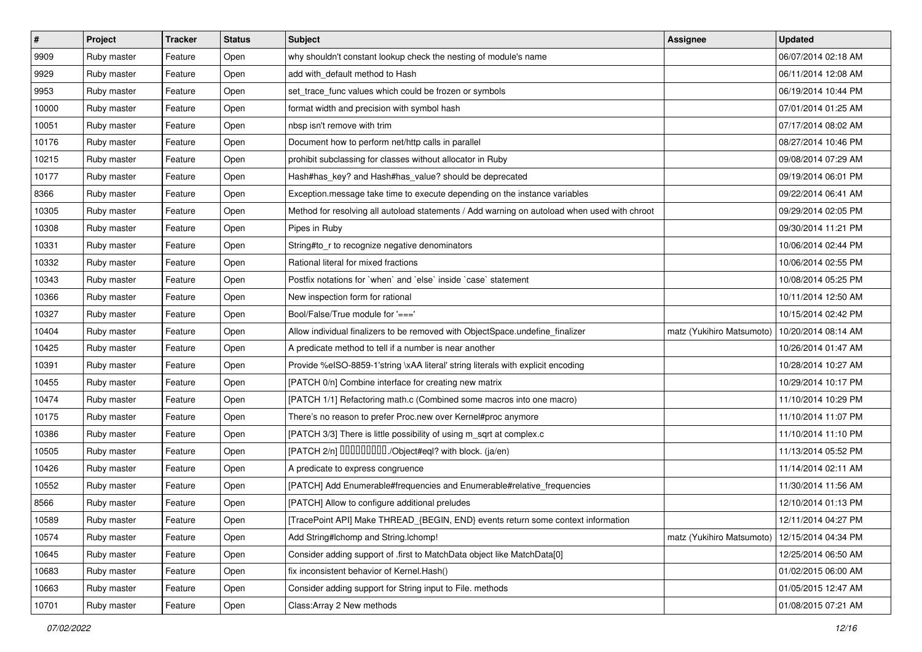| $\vert$ # | Project     | <b>Tracker</b> | <b>Status</b> | Subject                                                                                      | <b>Assignee</b>           | <b>Updated</b>      |
|-----------|-------------|----------------|---------------|----------------------------------------------------------------------------------------------|---------------------------|---------------------|
| 9909      | Ruby master | Feature        | Open          | why shouldn't constant lookup check the nesting of module's name                             |                           | 06/07/2014 02:18 AM |
| 9929      | Ruby master | Feature        | Open          | add with_default method to Hash                                                              |                           | 06/11/2014 12:08 AM |
| 9953      | Ruby master | Feature        | Open          | set_trace_func values which could be frozen or symbols                                       |                           | 06/19/2014 10:44 PM |
| 10000     | Ruby master | Feature        | Open          | format width and precision with symbol hash                                                  |                           | 07/01/2014 01:25 AM |
| 10051     | Ruby master | Feature        | Open          | nbsp isn't remove with trim                                                                  |                           | 07/17/2014 08:02 AM |
| 10176     | Ruby master | Feature        | Open          | Document how to perform net/http calls in parallel                                           |                           | 08/27/2014 10:46 PM |
| 10215     | Ruby master | Feature        | Open          | prohibit subclassing for classes without allocator in Ruby                                   |                           | 09/08/2014 07:29 AM |
| 10177     | Ruby master | Feature        | Open          | Hash#has_key? and Hash#has_value? should be deprecated                                       |                           | 09/19/2014 06:01 PM |
| 8366      | Ruby master | Feature        | Open          | Exception.message take time to execute depending on the instance variables                   |                           | 09/22/2014 06:41 AM |
| 10305     | Ruby master | Feature        | Open          | Method for resolving all autoload statements / Add warning on autoload when used with chroot |                           | 09/29/2014 02:05 PM |
| 10308     | Ruby master | Feature        | Open          | Pipes in Ruby                                                                                |                           | 09/30/2014 11:21 PM |
| 10331     | Ruby master | Feature        | Open          | String#to_r to recognize negative denominators                                               |                           | 10/06/2014 02:44 PM |
| 10332     | Ruby master | Feature        | Open          | Rational literal for mixed fractions                                                         |                           | 10/06/2014 02:55 PM |
| 10343     | Ruby master | Feature        | Open          | Postfix notations for `when` and `else` inside `case` statement                              |                           | 10/08/2014 05:25 PM |
| 10366     | Ruby master | Feature        | Open          | New inspection form for rational                                                             |                           | 10/11/2014 12:50 AM |
| 10327     | Ruby master | Feature        | Open          | Bool/False/True module for '==='                                                             |                           | 10/15/2014 02:42 PM |
| 10404     | Ruby master | Feature        | Open          | Allow individual finalizers to be removed with ObjectSpace.undefine_finalizer                | matz (Yukihiro Matsumoto) | 10/20/2014 08:14 AM |
| 10425     | Ruby master | Feature        | Open          | A predicate method to tell if a number is near another                                       |                           | 10/26/2014 01:47 AM |
| 10391     | Ruby master | Feature        | Open          | Provide %eISO-8859-1'string \xAA literal' string literals with explicit encoding             |                           | 10/28/2014 10:27 AM |
| 10455     | Ruby master | Feature        | Open          | [PATCH 0/n] Combine interface for creating new matrix                                        |                           | 10/29/2014 10:17 PM |
| 10474     | Ruby master | Feature        | Open          | [PATCH 1/1] Refactoring math.c (Combined some macros into one macro)                         |                           | 11/10/2014 10:29 PM |
| 10175     | Ruby master | Feature        | Open          | There's no reason to prefer Proc.new over Kernel#proc anymore                                |                           | 11/10/2014 11:07 PM |
| 10386     | Ruby master | Feature        | Open          | [PATCH 3/3] There is little possibility of using m_sqrt at complex.c                         |                           | 11/10/2014 11:10 PM |
| 10505     | Ruby master | Feature        | Open          | [PATCH 2/n] DDDDDDDD./Object#eql? with block. (ja/en)                                        |                           | 11/13/2014 05:52 PM |
| 10426     | Ruby master | Feature        | Open          | A predicate to express congruence                                                            |                           | 11/14/2014 02:11 AM |
| 10552     | Ruby master | Feature        | Open          | [PATCH] Add Enumerable#frequencies and Enumerable#relative_frequencies                       |                           | 11/30/2014 11:56 AM |
| 8566      | Ruby master | Feature        | Open          | [PATCH] Allow to configure additional preludes                                               |                           | 12/10/2014 01:13 PM |
| 10589     | Ruby master | Feature        | Open          | [TracePoint API] Make THREAD_{BEGIN, END} events return some context information             |                           | 12/11/2014 04:27 PM |
| 10574     | Ruby master | Feature        | Open          | Add String#Ichomp and String.Ichomp!                                                         | matz (Yukihiro Matsumoto) | 12/15/2014 04:34 PM |
| 10645     | Ruby master | Feature        | Open          | Consider adding support of .first to MatchData object like MatchData[0]                      |                           | 12/25/2014 06:50 AM |
| 10683     | Ruby master | Feature        | Open          | fix inconsistent behavior of Kernel.Hash()                                                   |                           | 01/02/2015 06:00 AM |
| 10663     | Ruby master | Feature        | Open          | Consider adding support for String input to File. methods                                    |                           | 01/05/2015 12:47 AM |
| 10701     | Ruby master | Feature        | Open          | Class: Array 2 New methods                                                                   |                           | 01/08/2015 07:21 AM |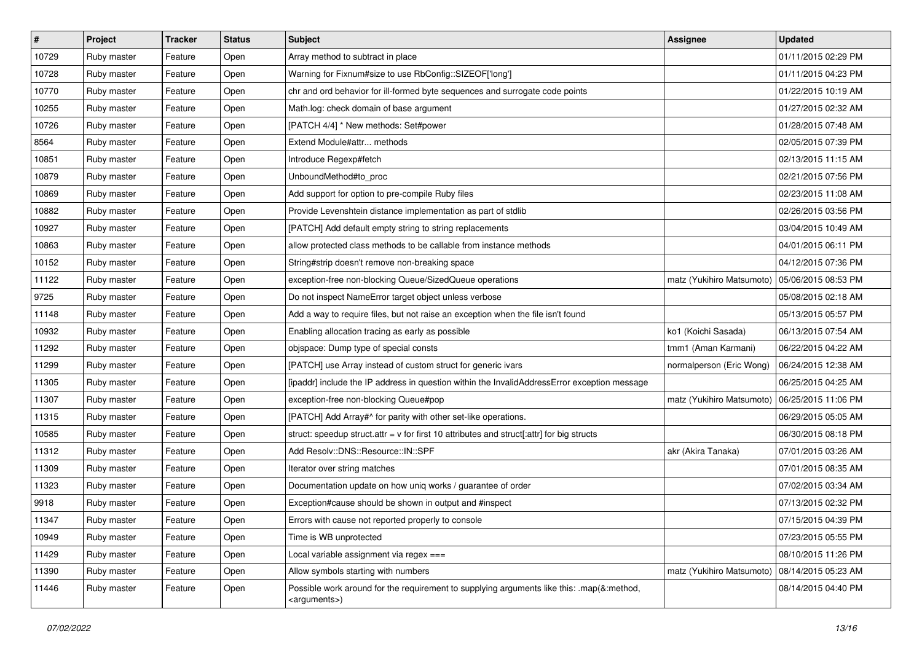| $\vert$ # | Project     | <b>Tracker</b> | <b>Status</b> | Subject                                                                                                               | <b>Assignee</b>           | <b>Updated</b>      |
|-----------|-------------|----------------|---------------|-----------------------------------------------------------------------------------------------------------------------|---------------------------|---------------------|
| 10729     | Ruby master | Feature        | Open          | Array method to subtract in place                                                                                     |                           | 01/11/2015 02:29 PM |
| 10728     | Ruby master | Feature        | Open          | Warning for Fixnum#size to use RbConfig::SIZEOF['long']                                                               |                           | 01/11/2015 04:23 PM |
| 10770     | Ruby master | Feature        | Open          | chr and ord behavior for ill-formed byte sequences and surrogate code points                                          |                           | 01/22/2015 10:19 AM |
| 10255     | Ruby master | Feature        | Open          | Math.log: check domain of base argument                                                                               |                           | 01/27/2015 02:32 AM |
| 10726     | Ruby master | Feature        | Open          | [PATCH 4/4] * New methods: Set#power                                                                                  |                           | 01/28/2015 07:48 AM |
| 8564      | Ruby master | Feature        | Open          | Extend Module#attr methods                                                                                            |                           | 02/05/2015 07:39 PM |
| 10851     | Ruby master | Feature        | Open          | Introduce Regexp#fetch                                                                                                |                           | 02/13/2015 11:15 AM |
| 10879     | Ruby master | Feature        | Open          | UnboundMethod#to_proc                                                                                                 |                           | 02/21/2015 07:56 PM |
| 10869     | Ruby master | Feature        | Open          | Add support for option to pre-compile Ruby files                                                                      |                           | 02/23/2015 11:08 AM |
| 10882     | Ruby master | Feature        | Open          | Provide Levenshtein distance implementation as part of stdlib                                                         |                           | 02/26/2015 03:56 PM |
| 10927     | Ruby master | Feature        | Open          | [PATCH] Add default empty string to string replacements                                                               |                           | 03/04/2015 10:49 AM |
| 10863     | Ruby master | Feature        | Open          | allow protected class methods to be callable from instance methods                                                    |                           | 04/01/2015 06:11 PM |
| 10152     | Ruby master | Feature        | Open          | String#strip doesn't remove non-breaking space                                                                        |                           | 04/12/2015 07:36 PM |
| 11122     | Ruby master | Feature        | Open          | exception-free non-blocking Queue/SizedQueue operations                                                               | matz (Yukihiro Matsumoto) | 05/06/2015 08:53 PM |
| 9725      | Ruby master | Feature        | Open          | Do not inspect NameError target object unless verbose                                                                 |                           | 05/08/2015 02:18 AM |
| 11148     | Ruby master | Feature        | Open          | Add a way to require files, but not raise an exception when the file isn't found                                      |                           | 05/13/2015 05:57 PM |
| 10932     | Ruby master | Feature        | Open          | Enabling allocation tracing as early as possible                                                                      | ko1 (Koichi Sasada)       | 06/13/2015 07:54 AM |
| 11292     | Ruby master | Feature        | Open          | objspace: Dump type of special consts                                                                                 | tmm1 (Aman Karmani)       | 06/22/2015 04:22 AM |
| 11299     | Ruby master | Feature        | Open          | [PATCH] use Array instead of custom struct for generic ivars                                                          | normalperson (Eric Wong)  | 06/24/2015 12:38 AM |
| 11305     | Ruby master | Feature        | Open          | [ipaddr] include the IP address in question within the InvalidAddressError exception message                          |                           | 06/25/2015 04:25 AM |
| 11307     | Ruby master | Feature        | Open          | exception-free non-blocking Queue#pop                                                                                 | matz (Yukihiro Matsumoto) | 06/25/2015 11:06 PM |
| 11315     | Ruby master | Feature        | Open          | [PATCH] Add Array#^ for parity with other set-like operations.                                                        |                           | 06/29/2015 05:05 AM |
| 10585     | Ruby master | Feature        | Open          | struct: speedup struct.attr = $v$ for first 10 attributes and struct[:attr] for big structs                           |                           | 06/30/2015 08:18 PM |
| 11312     | Ruby master | Feature        | Open          | Add Resolv::DNS::Resource::IN::SPF                                                                                    | akr (Akira Tanaka)        | 07/01/2015 03:26 AM |
| 11309     | Ruby master | Feature        | Open          | Iterator over string matches                                                                                          |                           | 07/01/2015 08:35 AM |
| 11323     | Ruby master | Feature        | Open          | Documentation update on how uniq works / guarantee of order                                                           |                           | 07/02/2015 03:34 AM |
| 9918      | Ruby master | Feature        | Open          | Exception#cause should be shown in output and #inspect                                                                |                           | 07/13/2015 02:32 PM |
| 11347     | Ruby master | Feature        | Open          | Errors with cause not reported properly to console                                                                    |                           | 07/15/2015 04:39 PM |
| 10949     | Ruby master | Feature        | Open          | Time is WB unprotected                                                                                                |                           | 07/23/2015 05:55 PM |
| 11429     | Ruby master | Feature        | Open          | Local variable assignment via regex ===                                                                               |                           | 08/10/2015 11:26 PM |
| 11390     | Ruby master | Feature        | Open          | Allow symbols starting with numbers                                                                                   | matz (Yukihiro Matsumoto) | 08/14/2015 05:23 AM |
| 11446     | Ruby master | Feature        | Open          | Possible work around for the requirement to supplying arguments like this: .map(&:method,<br><arguments>)</arguments> |                           | 08/14/2015 04:40 PM |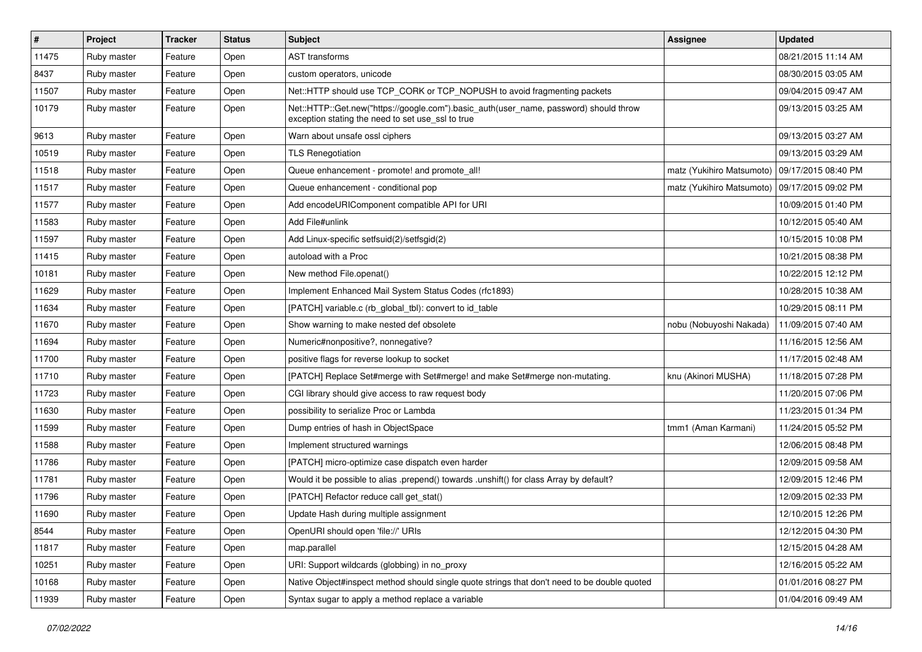| #     | Project     | <b>Tracker</b> | <b>Status</b> | <b>Subject</b>                                                                                                                             | <b>Assignee</b>           | <b>Updated</b>      |
|-------|-------------|----------------|---------------|--------------------------------------------------------------------------------------------------------------------------------------------|---------------------------|---------------------|
| 11475 | Ruby master | Feature        | Open          | <b>AST</b> transforms                                                                                                                      |                           | 08/21/2015 11:14 AM |
| 8437  | Ruby master | Feature        | Open          | custom operators, unicode                                                                                                                  |                           | 08/30/2015 03:05 AM |
| 11507 | Ruby master | Feature        | Open          | Net::HTTP should use TCP_CORK or TCP_NOPUSH to avoid fragmenting packets                                                                   |                           | 09/04/2015 09:47 AM |
| 10179 | Ruby master | Feature        | Open          | Net::HTTP::Get.new("https://google.com").basic_auth(user_name, password) should throw<br>exception stating the need to set use_ssl to true |                           | 09/13/2015 03:25 AM |
| 9613  | Ruby master | Feature        | Open          | Warn about unsafe ossl ciphers                                                                                                             |                           | 09/13/2015 03:27 AM |
| 10519 | Ruby master | Feature        | Open          | <b>TLS Renegotiation</b>                                                                                                                   |                           | 09/13/2015 03:29 AM |
| 11518 | Ruby master | Feature        | Open          | Queue enhancement - promote! and promote_all!                                                                                              | matz (Yukihiro Matsumoto) | 09/17/2015 08:40 PM |
| 11517 | Ruby master | Feature        | Open          | Queue enhancement - conditional pop                                                                                                        | matz (Yukihiro Matsumoto) | 09/17/2015 09:02 PM |
| 11577 | Ruby master | Feature        | Open          | Add encodeURIComponent compatible API for URI                                                                                              |                           | 10/09/2015 01:40 PM |
| 11583 | Ruby master | Feature        | Open          | Add File#unlink                                                                                                                            |                           | 10/12/2015 05:40 AM |
| 11597 | Ruby master | Feature        | Open          | Add Linux-specific setfsuid(2)/setfsgid(2)                                                                                                 |                           | 10/15/2015 10:08 PM |
| 11415 | Ruby master | Feature        | Open          | autoload with a Proc                                                                                                                       |                           | 10/21/2015 08:38 PM |
| 10181 | Ruby master | Feature        | Open          | New method File.openat()                                                                                                                   |                           | 10/22/2015 12:12 PM |
| 11629 | Ruby master | Feature        | Open          | Implement Enhanced Mail System Status Codes (rfc1893)                                                                                      |                           | 10/28/2015 10:38 AM |
| 11634 | Ruby master | Feature        | Open          | [PATCH] variable.c (rb global tbl): convert to id table                                                                                    |                           | 10/29/2015 08:11 PM |
| 11670 | Ruby master | Feature        | Open          | Show warning to make nested def obsolete                                                                                                   | nobu (Nobuyoshi Nakada)   | 11/09/2015 07:40 AM |
| 11694 | Ruby master | Feature        | Open          | Numeric#nonpositive?, nonnegative?                                                                                                         |                           | 11/16/2015 12:56 AM |
| 11700 | Ruby master | Feature        | Open          | positive flags for reverse lookup to socket                                                                                                |                           | 11/17/2015 02:48 AM |
| 11710 | Ruby master | Feature        | Open          | [PATCH] Replace Set#merge with Set#merge! and make Set#merge non-mutating.                                                                 | knu (Akinori MUSHA)       | 11/18/2015 07:28 PM |
| 11723 | Ruby master | Feature        | Open          | CGI library should give access to raw request body                                                                                         |                           | 11/20/2015 07:06 PM |
| 11630 | Ruby master | Feature        | Open          | possibility to serialize Proc or Lambda                                                                                                    |                           | 11/23/2015 01:34 PM |
| 11599 | Ruby master | Feature        | Open          | Dump entries of hash in ObjectSpace                                                                                                        | tmm1 (Aman Karmani)       | 11/24/2015 05:52 PM |
| 11588 | Ruby master | Feature        | Open          | Implement structured warnings                                                                                                              |                           | 12/06/2015 08:48 PM |
| 11786 | Ruby master | Feature        | Open          | [PATCH] micro-optimize case dispatch even harder                                                                                           |                           | 12/09/2015 09:58 AM |
| 11781 | Ruby master | Feature        | Open          | Would it be possible to alias .prepend() towards .unshift() for class Array by default?                                                    |                           | 12/09/2015 12:46 PM |
| 11796 | Ruby master | Feature        | Open          | [PATCH] Refactor reduce call get_stat()                                                                                                    |                           | 12/09/2015 02:33 PM |
| 11690 | Ruby master | Feature        | Open          | Update Hash during multiple assignment                                                                                                     |                           | 12/10/2015 12:26 PM |
| 8544  | Ruby master | Feature        | Open          | OpenURI should open 'file://' URIs                                                                                                         |                           | 12/12/2015 04:30 PM |
| 11817 | Ruby master | Feature        | Open          | map.parallel                                                                                                                               |                           | 12/15/2015 04:28 AM |
| 10251 | Ruby master | Feature        | Open          | URI: Support wildcards (globbing) in no_proxy                                                                                              |                           | 12/16/2015 05:22 AM |
| 10168 | Ruby master | Feature        | Open          | Native Object#inspect method should single quote strings that don't need to be double quoted                                               |                           | 01/01/2016 08:27 PM |
| 11939 | Ruby master | Feature        | Open          | Syntax sugar to apply a method replace a variable                                                                                          |                           | 01/04/2016 09:49 AM |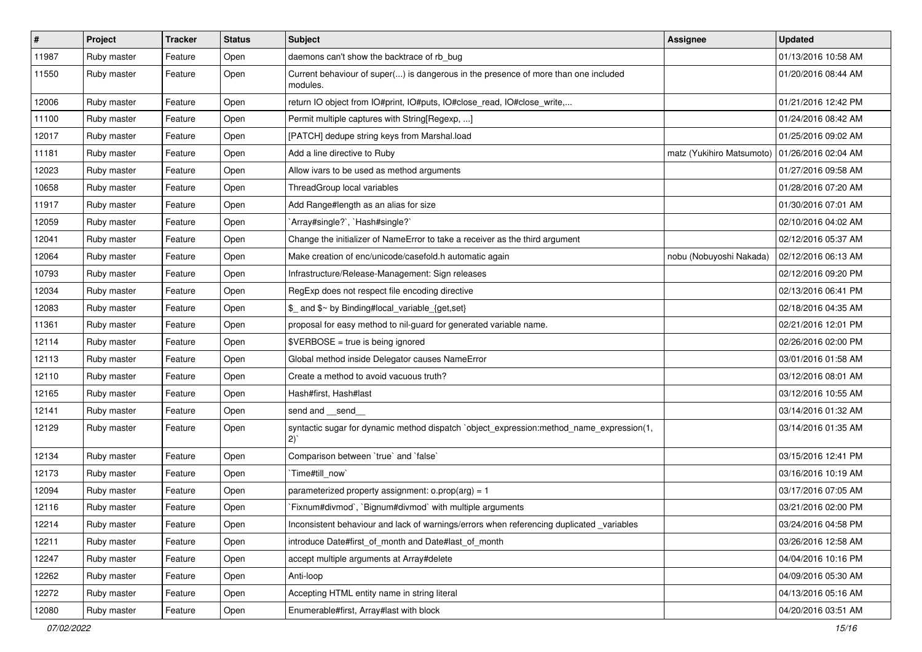| $\vert$ # | Project     | <b>Tracker</b> | <b>Status</b> | Subject                                                                                         | Assignee                  | <b>Updated</b>      |
|-----------|-------------|----------------|---------------|-------------------------------------------------------------------------------------------------|---------------------------|---------------------|
| 11987     | Ruby master | Feature        | Open          | daemons can't show the backtrace of rb_bug                                                      |                           | 01/13/2016 10:58 AM |
| 11550     | Ruby master | Feature        | Open          | Current behaviour of super() is dangerous in the presence of more than one included<br>modules. |                           | 01/20/2016 08:44 AM |
| 12006     | Ruby master | Feature        | Open          | return IO object from IO#print, IO#puts, IO#close_read, IO#close_write,                         |                           | 01/21/2016 12:42 PM |
| 11100     | Ruby master | Feature        | Open          | Permit multiple captures with String[Regexp, ]                                                  |                           | 01/24/2016 08:42 AM |
| 12017     | Ruby master | Feature        | Open          | [PATCH] dedupe string keys from Marshal.load                                                    |                           | 01/25/2016 09:02 AM |
| 11181     | Ruby master | Feature        | Open          | Add a line directive to Ruby                                                                    | matz (Yukihiro Matsumoto) | 01/26/2016 02:04 AM |
| 12023     | Ruby master | Feature        | Open          | Allow ivars to be used as method arguments                                                      |                           | 01/27/2016 09:58 AM |
| 10658     | Ruby master | Feature        | Open          | ThreadGroup local variables                                                                     |                           | 01/28/2016 07:20 AM |
| 11917     | Ruby master | Feature        | Open          | Add Range#length as an alias for size                                                           |                           | 01/30/2016 07:01 AM |
| 12059     | Ruby master | Feature        | Open          | 'Array#single?', 'Hash#single?'                                                                 |                           | 02/10/2016 04:02 AM |
| 12041     | Ruby master | Feature        | Open          | Change the initializer of NameError to take a receiver as the third argument                    |                           | 02/12/2016 05:37 AM |
| 12064     | Ruby master | Feature        | Open          | Make creation of enc/unicode/casefold.h automatic again                                         | nobu (Nobuyoshi Nakada)   | 02/12/2016 06:13 AM |
| 10793     | Ruby master | Feature        | Open          | Infrastructure/Release-Management: Sign releases                                                |                           | 02/12/2016 09:20 PM |
| 12034     | Ruby master | Feature        | Open          | RegExp does not respect file encoding directive                                                 |                           | 02/13/2016 06:41 PM |
| 12083     | Ruby master | Feature        | Open          | \$_ and \$~ by Binding#local_variable_{get,set}                                                 |                           | 02/18/2016 04:35 AM |
| 11361     | Ruby master | Feature        | Open          | proposal for easy method to nil-guard for generated variable name.                              |                           | 02/21/2016 12:01 PM |
| 12114     | Ruby master | Feature        | Open          | \$VERBOSE = true is being ignored                                                               |                           | 02/26/2016 02:00 PM |
| 12113     | Ruby master | Feature        | Open          | Global method inside Delegator causes NameError                                                 |                           | 03/01/2016 01:58 AM |
| 12110     | Ruby master | Feature        | Open          | Create a method to avoid vacuous truth?                                                         |                           | 03/12/2016 08:01 AM |
| 12165     | Ruby master | Feature        | Open          | Hash#first, Hash#last                                                                           |                           | 03/12/2016 10:55 AM |
| 12141     | Ruby master | Feature        | Open          | send and __send_                                                                                |                           | 03/14/2016 01:32 AM |
| 12129     | Ruby master | Feature        | Open          | syntactic sugar for dynamic method dispatch `object_expression:method_name_expression(1,<br>2)  |                           | 03/14/2016 01:35 AM |
| 12134     | Ruby master | Feature        | Open          | Comparison between 'true' and 'false'                                                           |                           | 03/15/2016 12:41 PM |
| 12173     | Ruby master | Feature        | Open          | `Time#till_now`                                                                                 |                           | 03/16/2016 10:19 AM |
| 12094     | Ruby master | Feature        | Open          | parameterized property assignment: $o.prop(arg) = 1$                                            |                           | 03/17/2016 07:05 AM |
| 12116     | Ruby master | Feature        | Open          | Fixnum#divmod`, `Bignum#divmod` with multiple arguments                                         |                           | 03/21/2016 02:00 PM |
| 12214     | Ruby master | Feature        | Open          | Inconsistent behaviour and lack of warnings/errors when referencing duplicated variables        |                           | 03/24/2016 04:58 PM |
| 12211     | Ruby master | Feature        | Open          | introduce Date#first of month and Date#last of month                                            |                           | 03/26/2016 12:58 AM |
| 12247     | Ruby master | Feature        | Open          | accept multiple arguments at Array#delete                                                       |                           | 04/04/2016 10:16 PM |
| 12262     | Ruby master | Feature        | Open          | Anti-loop                                                                                       |                           | 04/09/2016 05:30 AM |
| 12272     | Ruby master | Feature        | Open          | Accepting HTML entity name in string literal                                                    |                           | 04/13/2016 05:16 AM |
| 12080     | Ruby master | Feature        | Open          | Enumerable#first, Array#last with block                                                         |                           | 04/20/2016 03:51 AM |